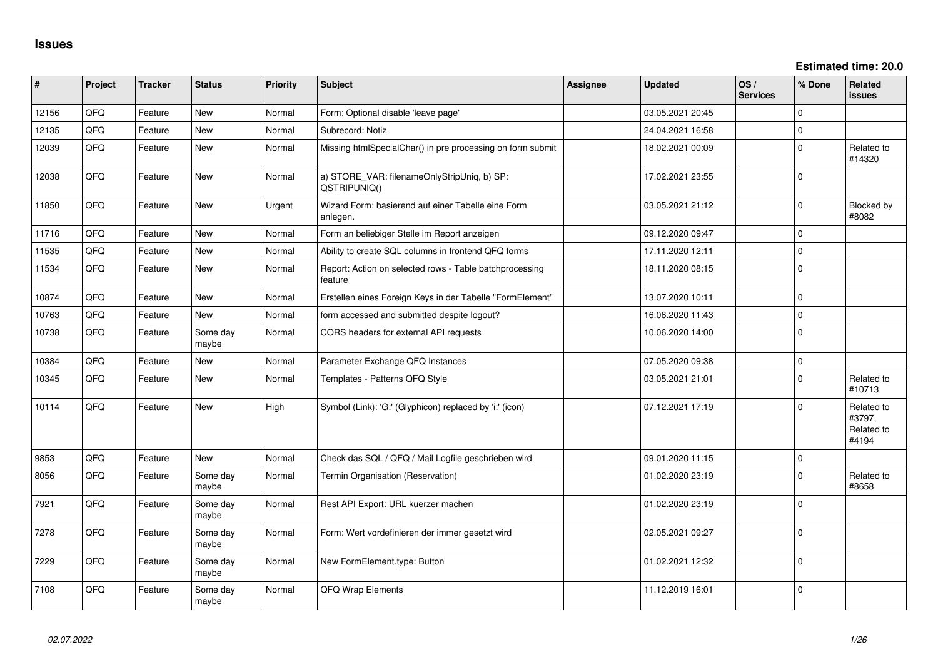**Estimated time: 20.0**

| #     | Project | <b>Tracker</b> | <b>Status</b>     | <b>Priority</b> | <b>Subject</b>                                                     | Assignee | <b>Updated</b>   | OS/<br><b>Services</b> | % Done      | <b>Related</b><br><b>issues</b>             |
|-------|---------|----------------|-------------------|-----------------|--------------------------------------------------------------------|----------|------------------|------------------------|-------------|---------------------------------------------|
| 12156 | QFQ     | Feature        | New               | Normal          | Form: Optional disable 'leave page'                                |          | 03.05.2021 20:45 |                        | $\Omega$    |                                             |
| 12135 | QFQ     | Feature        | <b>New</b>        | Normal          | Subrecord: Notiz                                                   |          | 24.04.2021 16:58 |                        | $\mathbf 0$ |                                             |
| 12039 | QFQ     | Feature        | <b>New</b>        | Normal          | Missing htmlSpecialChar() in pre processing on form submit         |          | 18.02.2021 00:09 |                        | $\mathbf 0$ | Related to<br>#14320                        |
| 12038 | QFQ     | Feature        | <b>New</b>        | Normal          | a) STORE_VAR: filenameOnlyStripUniq, b) SP:<br>QSTRIPUNIQ()        |          | 17.02.2021 23:55 |                        | $\Omega$    |                                             |
| 11850 | QFQ     | Feature        | New               | Urgent          | Wizard Form: basierend auf einer Tabelle eine Form<br>anlegen.     |          | 03.05.2021 21:12 |                        | $\Omega$    | Blocked by<br>#8082                         |
| 11716 | QFQ     | Feature        | <b>New</b>        | Normal          | Form an beliebiger Stelle im Report anzeigen                       |          | 09.12.2020 09:47 |                        | $\Omega$    |                                             |
| 11535 | QFQ     | Feature        | <b>New</b>        | Normal          | Ability to create SQL columns in frontend QFQ forms                |          | 17.11.2020 12:11 |                        | $\mathbf 0$ |                                             |
| 11534 | QFQ     | Feature        | <b>New</b>        | Normal          | Report: Action on selected rows - Table batchprocessing<br>feature |          | 18.11.2020 08:15 |                        | $\mathbf 0$ |                                             |
| 10874 | QFQ     | Feature        | <b>New</b>        | Normal          | Erstellen eines Foreign Keys in der Tabelle "FormElement"          |          | 13.07.2020 10:11 |                        | $\mathbf 0$ |                                             |
| 10763 | QFQ     | Feature        | <b>New</b>        | Normal          | form accessed and submitted despite logout?                        |          | 16.06.2020 11:43 |                        | $\Omega$    |                                             |
| 10738 | QFQ     | Feature        | Some day<br>maybe | Normal          | CORS headers for external API requests                             |          | 10.06.2020 14:00 |                        | $\mathbf 0$ |                                             |
| 10384 | QFQ     | Feature        | <b>New</b>        | Normal          | Parameter Exchange QFQ Instances                                   |          | 07.05.2020 09:38 |                        | $\mathbf 0$ |                                             |
| 10345 | QFQ     | Feature        | <b>New</b>        | Normal          | Templates - Patterns QFQ Style                                     |          | 03.05.2021 21:01 |                        | $\mathbf 0$ | Related to<br>#10713                        |
| 10114 | QFQ     | Feature        | New               | High            | Symbol (Link): 'G:' (Glyphicon) replaced by 'i:' (icon)            |          | 07.12.2021 17:19 |                        | $\Omega$    | Related to<br>#3797,<br>Related to<br>#4194 |
| 9853  | QFQ     | Feature        | <b>New</b>        | Normal          | Check das SQL / QFQ / Mail Logfile geschrieben wird                |          | 09.01.2020 11:15 |                        | $\mathbf 0$ |                                             |
| 8056  | QFQ     | Feature        | Some day<br>maybe | Normal          | Termin Organisation (Reservation)                                  |          | 01.02.2020 23:19 |                        | $\Omega$    | Related to<br>#8658                         |
| 7921  | QFQ     | Feature        | Some day<br>maybe | Normal          | Rest API Export: URL kuerzer machen                                |          | 01.02.2020 23:19 |                        | $\Omega$    |                                             |
| 7278  | QFQ     | Feature        | Some day<br>maybe | Normal          | Form: Wert vordefinieren der immer gesetzt wird                    |          | 02.05.2021 09:27 |                        | $\mathbf 0$ |                                             |
| 7229  | QFQ     | Feature        | Some day<br>maybe | Normal          | New FormElement.type: Button                                       |          | 01.02.2021 12:32 |                        | $\Omega$    |                                             |
| 7108  | QFQ     | Feature        | Some day<br>maybe | Normal          | QFQ Wrap Elements                                                  |          | 11.12.2019 16:01 |                        | $\Omega$    |                                             |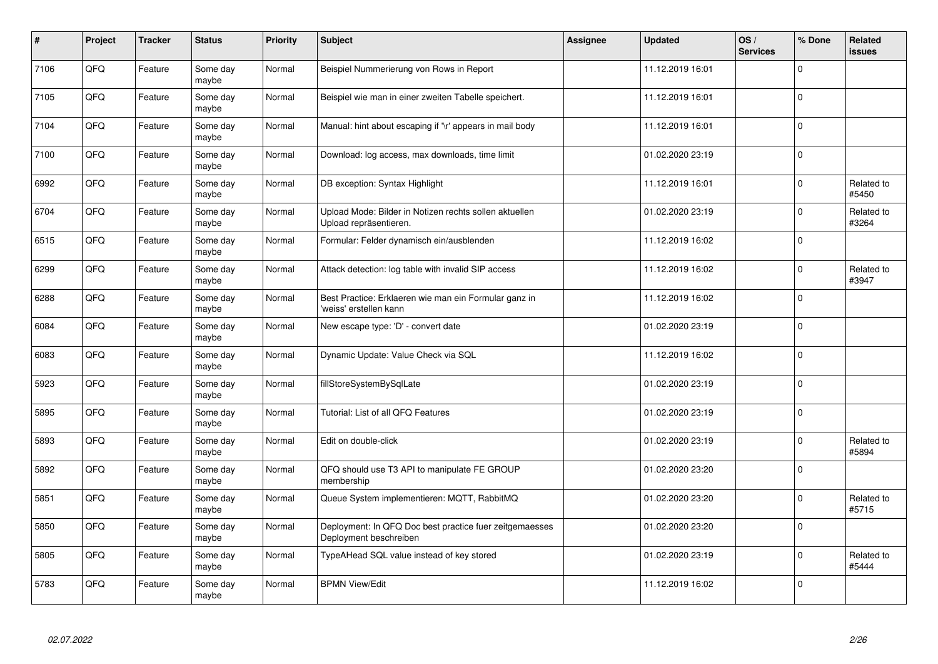| $\vert$ # | Project | <b>Tracker</b> | <b>Status</b>     | Priority | <b>Subject</b>                                                                    | <b>Assignee</b> | <b>Updated</b>   | OS/<br><b>Services</b> | % Done      | Related<br>issues   |
|-----------|---------|----------------|-------------------|----------|-----------------------------------------------------------------------------------|-----------------|------------------|------------------------|-------------|---------------------|
| 7106      | QFQ     | Feature        | Some day<br>maybe | Normal   | Beispiel Nummerierung von Rows in Report                                          |                 | 11.12.2019 16:01 |                        | $\Omega$    |                     |
| 7105      | QFQ     | Feature        | Some day<br>maybe | Normal   | Beispiel wie man in einer zweiten Tabelle speichert.                              |                 | 11.12.2019 16:01 |                        | $\mathbf 0$ |                     |
| 7104      | QFQ     | Feature        | Some day<br>maybe | Normal   | Manual: hint about escaping if '\r' appears in mail body                          |                 | 11.12.2019 16:01 |                        | $\mathbf 0$ |                     |
| 7100      | QFQ     | Feature        | Some day<br>maybe | Normal   | Download: log access, max downloads, time limit                                   |                 | 01.02.2020 23:19 |                        | $\Omega$    |                     |
| 6992      | QFQ     | Feature        | Some day<br>maybe | Normal   | DB exception: Syntax Highlight                                                    |                 | 11.12.2019 16:01 |                        | $\Omega$    | Related to<br>#5450 |
| 6704      | QFQ     | Feature        | Some day<br>maybe | Normal   | Upload Mode: Bilder in Notizen rechts sollen aktuellen<br>Upload repräsentieren.  |                 | 01.02.2020 23:19 |                        | $\Omega$    | Related to<br>#3264 |
| 6515      | QFQ     | Feature        | Some day<br>maybe | Normal   | Formular: Felder dynamisch ein/ausblenden                                         |                 | 11.12.2019 16:02 |                        | $\mathbf 0$ |                     |
| 6299      | QFQ     | Feature        | Some day<br>maybe | Normal   | Attack detection: log table with invalid SIP access                               |                 | 11.12.2019 16:02 |                        | $\Omega$    | Related to<br>#3947 |
| 6288      | QFQ     | Feature        | Some day<br>maybe | Normal   | Best Practice: Erklaeren wie man ein Formular ganz in<br>'weiss' erstellen kann   |                 | 11.12.2019 16:02 |                        | $\Omega$    |                     |
| 6084      | QFQ     | Feature        | Some day<br>maybe | Normal   | New escape type: 'D' - convert date                                               |                 | 01.02.2020 23:19 |                        | $\mathbf 0$ |                     |
| 6083      | QFQ     | Feature        | Some day<br>maybe | Normal   | Dynamic Update: Value Check via SQL                                               |                 | 11.12.2019 16:02 |                        | $\mathbf 0$ |                     |
| 5923      | QFQ     | Feature        | Some day<br>maybe | Normal   | fillStoreSystemBySqlLate                                                          |                 | 01.02.2020 23:19 |                        | $\mathbf 0$ |                     |
| 5895      | QFQ     | Feature        | Some day<br>maybe | Normal   | Tutorial: List of all QFQ Features                                                |                 | 01.02.2020 23:19 |                        | $\mathbf 0$ |                     |
| 5893      | QFQ     | Feature        | Some day<br>maybe | Normal   | Edit on double-click                                                              |                 | 01.02.2020 23:19 |                        | $\mathbf 0$ | Related to<br>#5894 |
| 5892      | QFQ     | Feature        | Some day<br>maybe | Normal   | QFQ should use T3 API to manipulate FE GROUP<br>membership                        |                 | 01.02.2020 23:20 |                        | $\mathbf 0$ |                     |
| 5851      | QFQ     | Feature        | Some day<br>maybe | Normal   | Queue System implementieren: MQTT, RabbitMQ                                       |                 | 01.02.2020 23:20 |                        | $\mathbf 0$ | Related to<br>#5715 |
| 5850      | QFQ     | Feature        | Some day<br>maybe | Normal   | Deployment: In QFQ Doc best practice fuer zeitgemaesses<br>Deployment beschreiben |                 | 01.02.2020 23:20 |                        | $\Omega$    |                     |
| 5805      | QFQ     | Feature        | Some day<br>maybe | Normal   | TypeAHead SQL value instead of key stored                                         |                 | 01.02.2020 23:19 |                        | $\mathbf 0$ | Related to<br>#5444 |
| 5783      | QFQ     | Feature        | Some day<br>maybe | Normal   | <b>BPMN View/Edit</b>                                                             |                 | 11.12.2019 16:02 |                        | $\Omega$    |                     |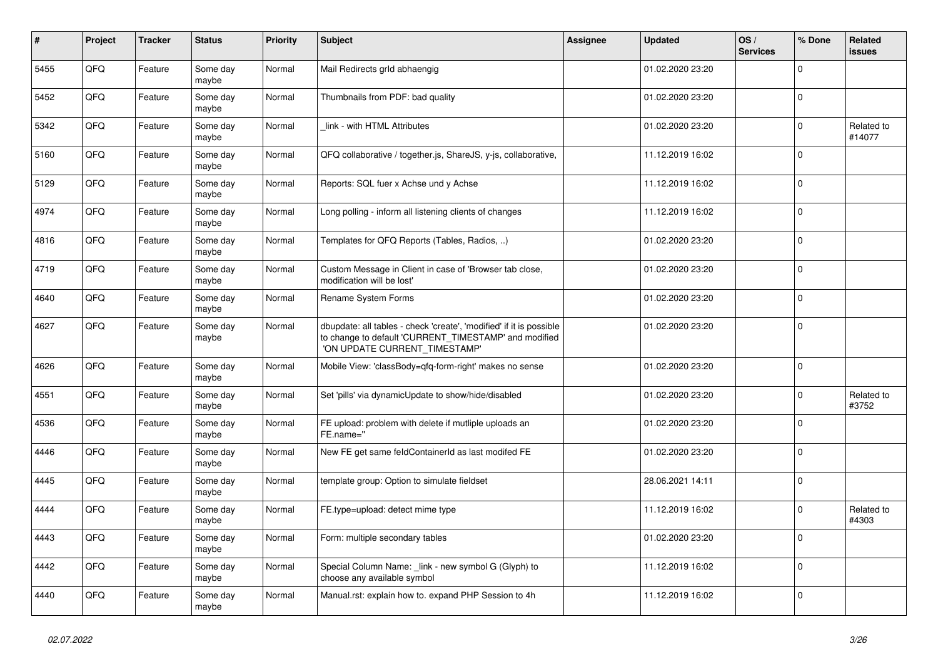| $\pmb{\sharp}$ | Project | <b>Tracker</b> | <b>Status</b>     | <b>Priority</b> | Subject                                                                                                                                                       | Assignee | <b>Updated</b>   | OS/<br><b>Services</b> | % Done      | Related<br><b>issues</b> |
|----------------|---------|----------------|-------------------|-----------------|---------------------------------------------------------------------------------------------------------------------------------------------------------------|----------|------------------|------------------------|-------------|--------------------------|
| 5455           | QFQ     | Feature        | Some day<br>maybe | Normal          | Mail Redirects grld abhaengig                                                                                                                                 |          | 01.02.2020 23:20 |                        | $\Omega$    |                          |
| 5452           | QFQ     | Feature        | Some day<br>maybe | Normal          | Thumbnails from PDF: bad quality                                                                                                                              |          | 01.02.2020 23:20 |                        | $\mathbf 0$ |                          |
| 5342           | QFQ     | Feature        | Some day<br>maybe | Normal          | link - with HTML Attributes                                                                                                                                   |          | 01.02.2020 23:20 |                        | $\mathbf 0$ | Related to<br>#14077     |
| 5160           | QFQ     | Feature        | Some day<br>maybe | Normal          | QFQ collaborative / together.js, ShareJS, y-js, collaborative,                                                                                                |          | 11.12.2019 16:02 |                        | $\Omega$    |                          |
| 5129           | QFQ     | Feature        | Some day<br>maybe | Normal          | Reports: SQL fuer x Achse und y Achse                                                                                                                         |          | 11.12.2019 16:02 |                        | $\mathbf 0$ |                          |
| 4974           | QFQ     | Feature        | Some day<br>maybe | Normal          | Long polling - inform all listening clients of changes                                                                                                        |          | 11.12.2019 16:02 |                        | $\mathbf 0$ |                          |
| 4816           | QFQ     | Feature        | Some day<br>maybe | Normal          | Templates for QFQ Reports (Tables, Radios, )                                                                                                                  |          | 01.02.2020 23:20 |                        | $\mathbf 0$ |                          |
| 4719           | QFQ     | Feature        | Some day<br>maybe | Normal          | Custom Message in Client in case of 'Browser tab close,<br>modification will be lost'                                                                         |          | 01.02.2020 23:20 |                        | $\mathbf 0$ |                          |
| 4640           | QFQ     | Feature        | Some day<br>maybe | Normal          | Rename System Forms                                                                                                                                           |          | 01.02.2020 23:20 |                        | $\mathbf 0$ |                          |
| 4627           | QFQ     | Feature        | Some day<br>maybe | Normal          | dbupdate: all tables - check 'create', 'modified' if it is possible<br>to change to default 'CURRENT_TIMESTAMP' and modified<br>'ON UPDATE CURRENT_TIMESTAMP' |          | 01.02.2020 23:20 |                        | $\mathbf 0$ |                          |
| 4626           | QFQ     | Feature        | Some day<br>maybe | Normal          | Mobile View: 'classBody=qfq-form-right' makes no sense                                                                                                        |          | 01.02.2020 23:20 |                        | $\Omega$    |                          |
| 4551           | QFQ     | Feature        | Some day<br>maybe | Normal          | Set 'pills' via dynamicUpdate to show/hide/disabled                                                                                                           |          | 01.02.2020 23:20 |                        | $\mathbf 0$ | Related to<br>#3752      |
| 4536           | QFQ     | Feature        | Some day<br>maybe | Normal          | FE upload: problem with delete if mutliple uploads an<br>FE.name="                                                                                            |          | 01.02.2020 23:20 |                        | $\pmb{0}$   |                          |
| 4446           | QFQ     | Feature        | Some dav<br>maybe | Normal          | New FE get same feldContainerId as last modifed FE                                                                                                            |          | 01.02.2020 23:20 |                        | $\mathbf 0$ |                          |
| 4445           | QFQ     | Feature        | Some day<br>maybe | Normal          | template group: Option to simulate fieldset                                                                                                                   |          | 28.06.2021 14:11 |                        | $\mathbf 0$ |                          |
| 4444           | QFQ     | Feature        | Some day<br>maybe | Normal          | FE.type=upload: detect mime type                                                                                                                              |          | 11.12.2019 16:02 |                        | $\pmb{0}$   | Related to<br>#4303      |
| 4443           | QFQ     | Feature        | Some day<br>maybe | Normal          | Form: multiple secondary tables                                                                                                                               |          | 01.02.2020 23:20 |                        | $\Omega$    |                          |
| 4442           | QFQ     | Feature        | Some day<br>maybe | Normal          | Special Column Name: _link - new symbol G (Glyph) to<br>choose any available symbol                                                                           |          | 11.12.2019 16:02 |                        | $\mathbf 0$ |                          |
| 4440           | QFQ     | Feature        | Some day<br>maybe | Normal          | Manual.rst: explain how to. expand PHP Session to 4h                                                                                                          |          | 11.12.2019 16:02 |                        | $\mathbf 0$ |                          |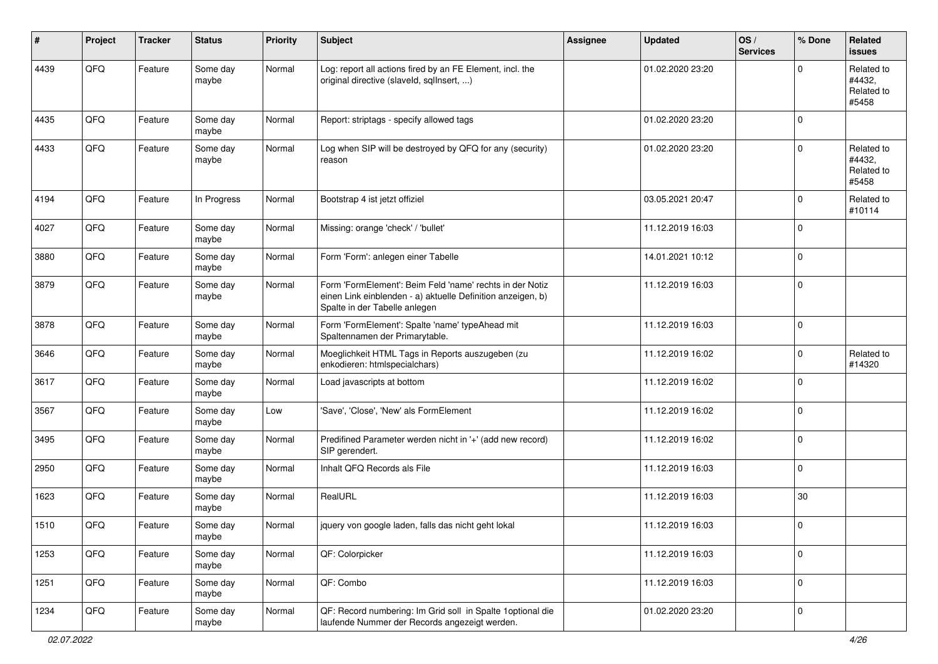| ∦    | Project | <b>Tracker</b> | <b>Status</b>     | <b>Priority</b> | <b>Subject</b>                                                                                                                                           | Assignee | <b>Updated</b>   | OS/<br><b>Services</b> | % Done      | Related<br>issues                           |
|------|---------|----------------|-------------------|-----------------|----------------------------------------------------------------------------------------------------------------------------------------------------------|----------|------------------|------------------------|-------------|---------------------------------------------|
| 4439 | QFQ     | Feature        | Some day<br>maybe | Normal          | Log: report all actions fired by an FE Element, incl. the<br>original directive (slaveld, sqlInsert, )                                                   |          | 01.02.2020 23:20 |                        | $\Omega$    | Related to<br>#4432.<br>Related to<br>#5458 |
| 4435 | QFQ     | Feature        | Some day<br>maybe | Normal          | Report: striptags - specify allowed tags                                                                                                                 |          | 01.02.2020 23:20 |                        | $\mathbf 0$ |                                             |
| 4433 | QFQ     | Feature        | Some day<br>maybe | Normal          | Log when SIP will be destroyed by QFQ for any (security)<br>reason                                                                                       |          | 01.02.2020 23:20 |                        | $\mathbf 0$ | Related to<br>#4432.<br>Related to<br>#5458 |
| 4194 | QFQ     | Feature        | In Progress       | Normal          | Bootstrap 4 ist jetzt offiziel                                                                                                                           |          | 03.05.2021 20:47 |                        | $\mathbf 0$ | Related to<br>#10114                        |
| 4027 | QFQ     | Feature        | Some day<br>maybe | Normal          | Missing: orange 'check' / 'bullet'                                                                                                                       |          | 11.12.2019 16:03 |                        | $\pmb{0}$   |                                             |
| 3880 | QFQ     | Feature        | Some day<br>maybe | Normal          | Form 'Form': anlegen einer Tabelle                                                                                                                       |          | 14.01.2021 10:12 |                        | $\pmb{0}$   |                                             |
| 3879 | QFQ     | Feature        | Some day<br>maybe | Normal          | Form 'FormElement': Beim Feld 'name' rechts in der Notiz<br>einen Link einblenden - a) aktuelle Definition anzeigen, b)<br>Spalte in der Tabelle anlegen |          | 11.12.2019 16:03 |                        | $\mathbf 0$ |                                             |
| 3878 | QFQ     | Feature        | Some day<br>maybe | Normal          | Form 'FormElement': Spalte 'name' typeAhead mit<br>Spaltennamen der Primarytable.                                                                        |          | 11.12.2019 16:03 |                        | $\mathbf 0$ |                                             |
| 3646 | QFQ     | Feature        | Some day<br>maybe | Normal          | Moeglichkeit HTML Tags in Reports auszugeben (zu<br>enkodieren: htmlspecialchars)                                                                        |          | 11.12.2019 16:02 |                        | $\mathbf 0$ | Related to<br>#14320                        |
| 3617 | QFQ     | Feature        | Some day<br>maybe | Normal          | Load javascripts at bottom                                                                                                                               |          | 11.12.2019 16:02 |                        | $\mathbf 0$ |                                             |
| 3567 | QFQ     | Feature        | Some day<br>maybe | Low             | 'Save', 'Close', 'New' als FormElement                                                                                                                   |          | 11.12.2019 16:02 |                        | $\mathbf 0$ |                                             |
| 3495 | QFQ     | Feature        | Some day<br>maybe | Normal          | Predifined Parameter werden nicht in '+' (add new record)<br>SIP gerendert.                                                                              |          | 11.12.2019 16:02 |                        | $\mathbf 0$ |                                             |
| 2950 | QFQ     | Feature        | Some day<br>maybe | Normal          | Inhalt QFQ Records als File                                                                                                                              |          | 11.12.2019 16:03 |                        | $\pmb{0}$   |                                             |
| 1623 | QFQ     | Feature        | Some day<br>maybe | Normal          | RealURL                                                                                                                                                  |          | 11.12.2019 16:03 |                        | 30          |                                             |
| 1510 | QFQ     | Feature        | Some day<br>maybe | Normal          | jquery von google laden, falls das nicht geht lokal                                                                                                      |          | 11.12.2019 16:03 |                        | 0           |                                             |
| 1253 | QFQ     | Feature        | Some day<br>maybe | Normal          | QF: Colorpicker                                                                                                                                          |          | 11.12.2019 16:03 |                        | $\mathbf 0$ |                                             |
| 1251 | QFQ     | Feature        | Some day<br>maybe | Normal          | QF: Combo                                                                                                                                                |          | 11.12.2019 16:03 |                        | $\mathsf 0$ |                                             |
| 1234 | QFG     | Feature        | Some day<br>maybe | Normal          | QF: Record numbering: Im Grid soll in Spalte 1optional die<br>laufende Nummer der Records angezeigt werden.                                              |          | 01.02.2020 23:20 |                        | $\mathbf 0$ |                                             |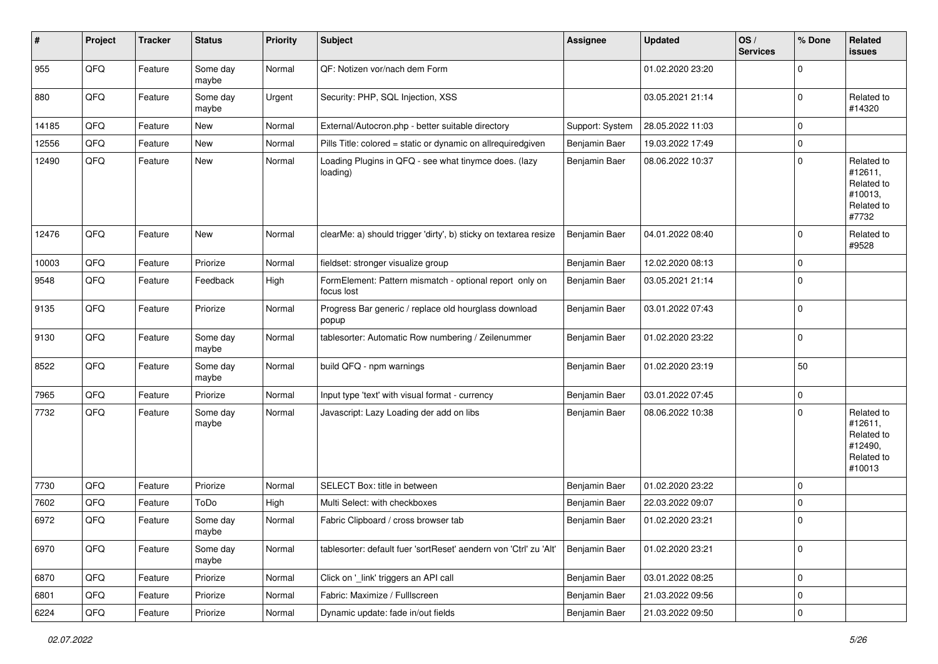| #     | Project | <b>Tracker</b> | <b>Status</b>     | <b>Priority</b> | <b>Subject</b>                                                        | Assignee        | <b>Updated</b>   | OS/<br><b>Services</b> | % Done      | <b>Related</b><br><b>issues</b>                                        |
|-------|---------|----------------|-------------------|-----------------|-----------------------------------------------------------------------|-----------------|------------------|------------------------|-------------|------------------------------------------------------------------------|
| 955   | QFQ     | Feature        | Some day<br>maybe | Normal          | QF: Notizen vor/nach dem Form                                         |                 | 01.02.2020 23:20 |                        | $\mathbf 0$ |                                                                        |
| 880   | QFQ     | Feature        | Some day<br>maybe | Urgent          | Security: PHP, SQL Injection, XSS                                     |                 | 03.05.2021 21:14 |                        | 0           | Related to<br>#14320                                                   |
| 14185 | QFQ     | Feature        | New               | Normal          | External/Autocron.php - better suitable directory                     | Support: System | 28.05.2022 11:03 |                        | 0           |                                                                        |
| 12556 | QFQ     | Feature        | New               | Normal          | Pills Title: colored = static or dynamic on allrequiredgiven          | Benjamin Baer   | 19.03.2022 17:49 |                        | $\mathbf 0$ |                                                                        |
| 12490 | QFQ     | Feature        | New               | Normal          | Loading Plugins in QFQ - see what tinymce does. (lazy<br>loading)     | Benjamin Baer   | 08.06.2022 10:37 |                        | 0           | Related to<br>#12611,<br>Related to<br>#10013,<br>Related to<br>#7732  |
| 12476 | QFQ     | Feature        | New               | Normal          | clearMe: a) should trigger 'dirty', b) sticky on textarea resize      | Benjamin Baer   | 04.01.2022 08:40 |                        | $\mathbf 0$ | Related to<br>#9528                                                    |
| 10003 | QFQ     | Feature        | Priorize          | Normal          | fieldset: stronger visualize group                                    | Benjamin Baer   | 12.02.2020 08:13 |                        | $\mathbf 0$ |                                                                        |
| 9548  | QFQ     | Feature        | Feedback          | High            | FormElement: Pattern mismatch - optional report only on<br>focus lost | Benjamin Baer   | 03.05.2021 21:14 |                        | $\mathbf 0$ |                                                                        |
| 9135  | QFQ     | Feature        | Priorize          | Normal          | Progress Bar generic / replace old hourglass download<br>popup        | Benjamin Baer   | 03.01.2022 07:43 |                        | 0           |                                                                        |
| 9130  | QFQ     | Feature        | Some day<br>maybe | Normal          | tablesorter: Automatic Row numbering / Zeilenummer                    | Benjamin Baer   | 01.02.2020 23:22 |                        | $\mathbf 0$ |                                                                        |
| 8522  | QFQ     | Feature        | Some day<br>maybe | Normal          | build QFQ - npm warnings                                              | Benjamin Baer   | 01.02.2020 23:19 |                        | 50          |                                                                        |
| 7965  | QFQ     | Feature        | Priorize          | Normal          | Input type 'text' with visual format - currency                       | Benjamin Baer   | 03.01.2022 07:45 |                        | 0           |                                                                        |
| 7732  | QFQ     | Feature        | Some day<br>maybe | Normal          | Javascript: Lazy Loading der add on libs                              | Benjamin Baer   | 08.06.2022 10:38 |                        | 0           | Related to<br>#12611,<br>Related to<br>#12490,<br>Related to<br>#10013 |
| 7730  | QFQ     | Feature        | Priorize          | Normal          | SELECT Box: title in between                                          | Benjamin Baer   | 01.02.2020 23:22 |                        | 0           |                                                                        |
| 7602  | QFQ     | Feature        | ToDo              | High            | Multi Select: with checkboxes                                         | Benjamin Baer   | 22.03.2022 09:07 |                        | 0           |                                                                        |
| 6972  | QFQ     | Feature        | Some day<br>maybe | Normal          | Fabric Clipboard / cross browser tab                                  | Benjamin Baer   | 01.02.2020 23:21 |                        | 0           |                                                                        |
| 6970  | QFQ     | Feature        | Some day<br>maybe | Normal          | tablesorter: default fuer 'sortReset' aendern von 'Ctrl' zu 'Alt'     | Benjamin Baer   | 01.02.2020 23:21 |                        | $\mathbf 0$ |                                                                        |
| 6870  | QFQ     | Feature        | Priorize          | Normal          | Click on '_link' triggers an API call                                 | Benjamin Baer   | 03.01.2022 08:25 |                        | 0           |                                                                        |
| 6801  | QFQ     | Feature        | Priorize          | Normal          | Fabric: Maximize / Fulllscreen                                        | Benjamin Baer   | 21.03.2022 09:56 |                        | 0           |                                                                        |
| 6224  | QFG     | Feature        | Priorize          | Normal          | Dynamic update: fade in/out fields                                    | Benjamin Baer   | 21.03.2022 09:50 |                        | $\pmb{0}$   |                                                                        |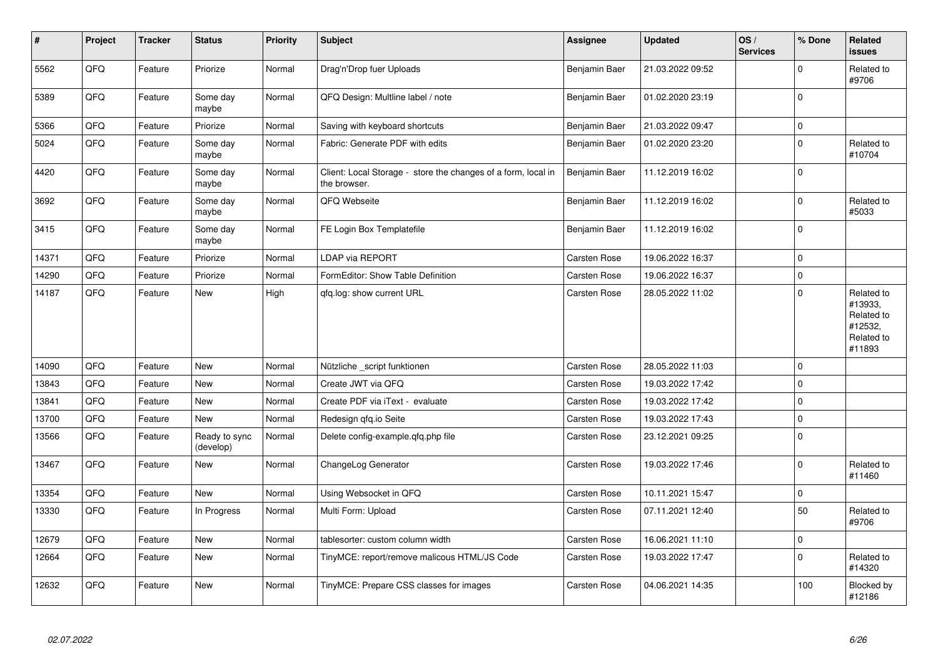| $\sharp$ | Project | <b>Tracker</b> | <b>Status</b>              | <b>Priority</b> | <b>Subject</b>                                                                | <b>Assignee</b>     | <b>Updated</b>   | OS/<br><b>Services</b> | % Done      | Related<br>issues                                                      |
|----------|---------|----------------|----------------------------|-----------------|-------------------------------------------------------------------------------|---------------------|------------------|------------------------|-------------|------------------------------------------------------------------------|
| 5562     | QFQ     | Feature        | Priorize                   | Normal          | Drag'n'Drop fuer Uploads                                                      | Benjamin Baer       | 21.03.2022 09:52 |                        | $\Omega$    | Related to<br>#9706                                                    |
| 5389     | QFQ     | Feature        | Some day<br>maybe          | Normal          | QFQ Design: Multline label / note                                             | Benjamin Baer       | 01.02.2020 23:19 |                        | $\mathbf 0$ |                                                                        |
| 5366     | QFQ     | Feature        | Priorize                   | Normal          | Saving with keyboard shortcuts                                                | Benjamin Baer       | 21.03.2022 09:47 |                        | 0           |                                                                        |
| 5024     | QFQ     | Feature        | Some day<br>maybe          | Normal          | Fabric: Generate PDF with edits                                               | Benjamin Baer       | 01.02.2020 23:20 |                        | $\pmb{0}$   | Related to<br>#10704                                                   |
| 4420     | QFQ     | Feature        | Some day<br>maybe          | Normal          | Client: Local Storage - store the changes of a form, local in<br>the browser. | Benjamin Baer       | 11.12.2019 16:02 |                        | $\mathbf 0$ |                                                                        |
| 3692     | QFQ     | Feature        | Some day<br>maybe          | Normal          | QFQ Webseite                                                                  | Benjamin Baer       | 11.12.2019 16:02 |                        | 0           | Related to<br>#5033                                                    |
| 3415     | QFQ     | Feature        | Some day<br>maybe          | Normal          | FE Login Box Templatefile                                                     | Benjamin Baer       | 11.12.2019 16:02 |                        | $\Omega$    |                                                                        |
| 14371    | QFQ     | Feature        | Priorize                   | Normal          | LDAP via REPORT                                                               | <b>Carsten Rose</b> | 19.06.2022 16:37 |                        | 0           |                                                                        |
| 14290    | QFQ     | Feature        | Priorize                   | Normal          | FormEditor: Show Table Definition                                             | Carsten Rose        | 19.06.2022 16:37 |                        | $\Omega$    |                                                                        |
| 14187    | QFQ     | Feature        | New                        | High            | gfg.log: show current URL                                                     | Carsten Rose        | 28.05.2022 11:02 |                        | $\mathbf 0$ | Related to<br>#13933,<br>Related to<br>#12532,<br>Related to<br>#11893 |
| 14090    | QFQ     | Feature        | <b>New</b>                 | Normal          | Nützliche _script funktionen                                                  | <b>Carsten Rose</b> | 28.05.2022 11:03 |                        | 0           |                                                                        |
| 13843    | QFQ     | Feature        | <b>New</b>                 | Normal          | Create JWT via QFQ                                                            | Carsten Rose        | 19.03.2022 17:42 |                        | $\mathbf 0$ |                                                                        |
| 13841    | QFQ     | Feature        | New                        | Normal          | Create PDF via iText - evaluate                                               | Carsten Rose        | 19.03.2022 17:42 |                        | $\Omega$    |                                                                        |
| 13700    | QFQ     | Feature        | New                        | Normal          | Redesign qfq.io Seite                                                         | Carsten Rose        | 19.03.2022 17:43 |                        | $\pmb{0}$   |                                                                        |
| 13566    | QFQ     | Feature        | Ready to sync<br>(develop) | Normal          | Delete config-example.gfg.php file                                            | Carsten Rose        | 23.12.2021 09:25 |                        | $\Omega$    |                                                                        |
| 13467    | QFQ     | Feature        | New                        | Normal          | ChangeLog Generator                                                           | Carsten Rose        | 19.03.2022 17:46 |                        | $\pmb{0}$   | Related to<br>#11460                                                   |
| 13354    | QFQ     | Feature        | New                        | Normal          | Using Websocket in QFQ                                                        | Carsten Rose        | 10.11.2021 15:47 |                        | $\pmb{0}$   |                                                                        |
| 13330    | QFQ     | Feature        | In Progress                | Normal          | Multi Form: Upload                                                            | Carsten Rose        | 07.11.2021 12:40 |                        | 50          | Related to<br>#9706                                                    |
| 12679    | QFQ     | Feature        | <b>New</b>                 | Normal          | tablesorter: custom column width                                              | <b>Carsten Rose</b> | 16.06.2021 11:10 |                        | $\pmb{0}$   |                                                                        |
| 12664    | QFQ     | Feature        | New                        | Normal          | TinyMCE: report/remove malicous HTML/JS Code                                  | Carsten Rose        | 19.03.2022 17:47 |                        | $\pmb{0}$   | Related to<br>#14320                                                   |
| 12632    | QFQ     | Feature        | New                        | Normal          | TinyMCE: Prepare CSS classes for images                                       | Carsten Rose        | 04.06.2021 14:35 |                        | 100         | Blocked by<br>#12186                                                   |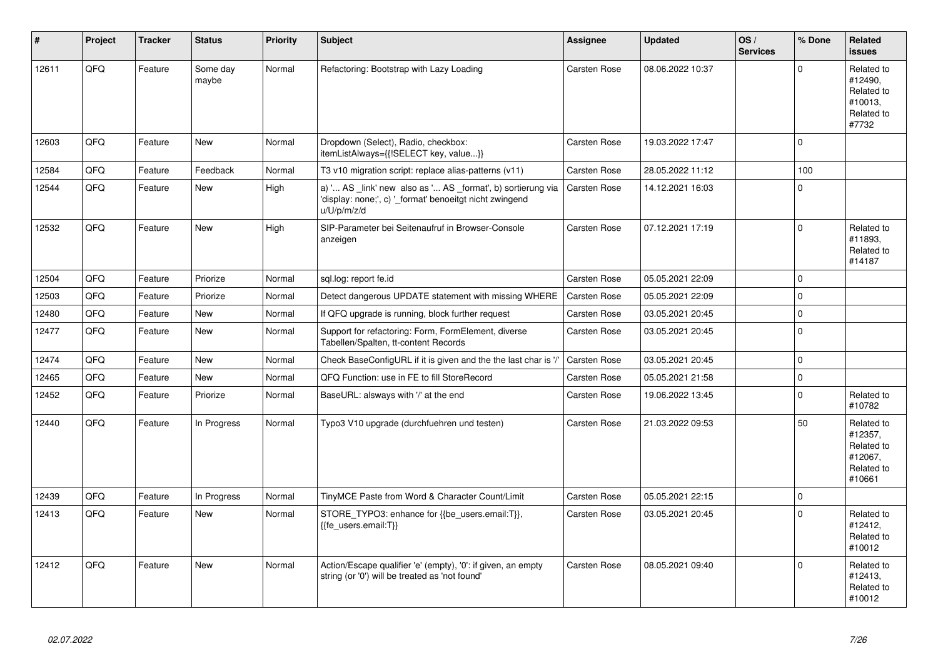| #     | Project | <b>Tracker</b> | <b>Status</b>     | <b>Priority</b> | <b>Subject</b>                                                                                                                        | Assignee            | <b>Updated</b>   | OS/<br><b>Services</b> | % Done      | Related<br><b>issues</b>                                               |
|-------|---------|----------------|-------------------|-----------------|---------------------------------------------------------------------------------------------------------------------------------------|---------------------|------------------|------------------------|-------------|------------------------------------------------------------------------|
| 12611 | QFQ     | Feature        | Some day<br>maybe | Normal          | Refactoring: Bootstrap with Lazy Loading                                                                                              | Carsten Rose        | 08.06.2022 10:37 |                        | $\Omega$    | Related to<br>#12490.<br>Related to<br>#10013.<br>Related to<br>#7732  |
| 12603 | QFQ     | Feature        | New               | Normal          | Dropdown (Select), Radio, checkbox:<br>itemListAlways={{!SELECT key, value}}                                                          | Carsten Rose        | 19.03.2022 17:47 |                        | $\Omega$    |                                                                        |
| 12584 | QFQ     | Feature        | Feedback          | Normal          | T3 v10 migration script: replace alias-patterns (v11)                                                                                 | Carsten Rose        | 28.05.2022 11:12 |                        | 100         |                                                                        |
| 12544 | QFQ     | Feature        | New               | High            | a) ' AS _link' new also as ' AS _format', b) sortierung via<br>'display: none;', c) '_format' benoeitgt nicht zwingend<br>u/U/p/m/z/d | Carsten Rose        | 14.12.2021 16:03 |                        | $\Omega$    |                                                                        |
| 12532 | QFQ     | Feature        | <b>New</b>        | High            | SIP-Parameter bei Seitenaufruf in Browser-Console<br>anzeigen                                                                         | Carsten Rose        | 07.12.2021 17:19 |                        | $\Omega$    | Related to<br>#11893,<br>Related to<br>#14187                          |
| 12504 | QFQ     | Feature        | Priorize          | Normal          | sql.log: report fe.id                                                                                                                 | Carsten Rose        | 05.05.2021 22:09 |                        | $\Omega$    |                                                                        |
| 12503 | QFQ     | Feature        | Priorize          | Normal          | Detect dangerous UPDATE statement with missing WHERE                                                                                  | Carsten Rose        | 05.05.2021 22:09 |                        | $\Omega$    |                                                                        |
| 12480 | QFQ     | Feature        | <b>New</b>        | Normal          | If QFQ upgrade is running, block further request                                                                                      | Carsten Rose        | 03.05.2021 20:45 |                        | $\Omega$    |                                                                        |
| 12477 | QFQ     | Feature        | <b>New</b>        | Normal          | Support for refactoring: Form, FormElement, diverse<br>Tabellen/Spalten, tt-content Records                                           | Carsten Rose        | 03.05.2021 20:45 |                        | $\Omega$    |                                                                        |
| 12474 | QFQ     | Feature        | <b>New</b>        | Normal          | Check BaseConfigURL if it is given and the the last char is '/'                                                                       | Carsten Rose        | 03.05.2021 20:45 |                        | $\Omega$    |                                                                        |
| 12465 | QFQ     | Feature        | <b>New</b>        | Normal          | QFQ Function: use in FE to fill StoreRecord                                                                                           | Carsten Rose        | 05.05.2021 21:58 |                        | $\mathbf 0$ |                                                                        |
| 12452 | QFQ     | Feature        | Priorize          | Normal          | BaseURL: alsways with '/' at the end                                                                                                  | Carsten Rose        | 19.06.2022 13:45 |                        | $\Omega$    | Related to<br>#10782                                                   |
| 12440 | QFQ     | Feature        | In Progress       | Normal          | Typo3 V10 upgrade (durchfuehren und testen)                                                                                           | Carsten Rose        | 21.03.2022 09:53 |                        | 50          | Related to<br>#12357,<br>Related to<br>#12067.<br>Related to<br>#10661 |
| 12439 | QFQ     | Feature        | In Progress       | Normal          | TinyMCE Paste from Word & Character Count/Limit                                                                                       | Carsten Rose        | 05.05.2021 22:15 |                        | $\mathbf 0$ |                                                                        |
| 12413 | QFQ     | Feature        | New               | Normal          | STORE TYPO3: enhance for {{be users.email:T}},<br>{{fe users.email:T}}                                                                | Carsten Rose        | 03.05.2021 20:45 |                        | $\Omega$    | Related to<br>#12412,<br>Related to<br>#10012                          |
| 12412 | QFQ     | Feature        | <b>New</b>        | Normal          | Action/Escape qualifier 'e' (empty), '0': if given, an empty<br>string (or '0') will be treated as 'not found'                        | <b>Carsten Rose</b> | 08.05.2021 09:40 |                        | $\Omega$    | Related to<br>#12413,<br>Related to<br>#10012                          |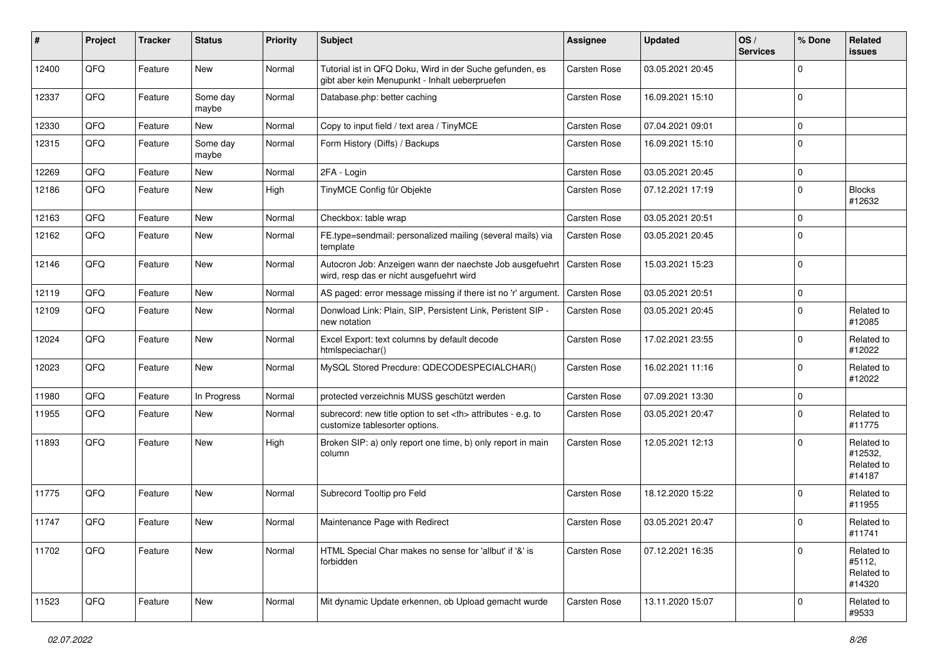| ∦     | Project | <b>Tracker</b> | <b>Status</b>     | <b>Priority</b> | Subject                                                                                                    | <b>Assignee</b>                                        | <b>Updated</b>   | OS/<br><b>Services</b> | % Done      | Related<br>issues                             |                      |
|-------|---------|----------------|-------------------|-----------------|------------------------------------------------------------------------------------------------------------|--------------------------------------------------------|------------------|------------------------|-------------|-----------------------------------------------|----------------------|
| 12400 | QFQ     | Feature        | New               | Normal          | Tutorial ist in QFQ Doku, Wird in der Suche gefunden, es<br>gibt aber kein Menupunkt - Inhalt ueberpruefen | Carsten Rose                                           | 03.05.2021 20:45 |                        | $\Omega$    |                                               |                      |
| 12337 | QFQ     | Feature        | Some day<br>maybe | Normal          | Database.php: better caching                                                                               | <b>Carsten Rose</b>                                    | 16.09.2021 15:10 |                        | $\Omega$    |                                               |                      |
| 12330 | QFQ     | Feature        | New               | Normal          | Copy to input field / text area / TinyMCE                                                                  | Carsten Rose                                           | 07.04.2021 09:01 |                        | $\Omega$    |                                               |                      |
| 12315 | QFQ     | Feature        | Some day<br>maybe | Normal          | Form History (Diffs) / Backups                                                                             | Carsten Rose                                           | 16.09.2021 15:10 |                        | $\Omega$    |                                               |                      |
| 12269 | QFQ     | Feature        | <b>New</b>        | Normal          | 2FA - Login                                                                                                | Carsten Rose                                           | 03.05.2021 20:45 |                        | 0           |                                               |                      |
| 12186 | QFQ     | Feature        | New               | High            | TinyMCE Config für Objekte                                                                                 | Carsten Rose                                           | 07.12.2021 17:19 |                        | $\Omega$    | <b>Blocks</b><br>#12632                       |                      |
| 12163 | QFQ     | Feature        | New               | Normal          | Checkbox: table wrap                                                                                       | Carsten Rose                                           | 03.05.2021 20:51 |                        | $\Omega$    |                                               |                      |
| 12162 | QFQ     | Feature        | <b>New</b>        | Normal          | FE.type=sendmail: personalized mailing (several mails) via<br>template                                     | Carsten Rose                                           | 03.05.2021 20:45 |                        | $\Omega$    |                                               |                      |
| 12146 | QFQ     | Feature        | <b>New</b>        | Normal          | Autocron Job: Anzeigen wann der naechste Job ausgefuehrt<br>wird, resp das er nicht ausgefuehrt wird       | <b>Carsten Rose</b>                                    | 15.03.2021 15:23 |                        | $\Omega$    |                                               |                      |
| 12119 | QFQ     | Feature        | <b>New</b>        | Normal          | AS paged: error message missing if there ist no 'r' argument.                                              | <b>Carsten Rose</b>                                    | 03.05.2021 20:51 |                        | $\mathbf 0$ |                                               |                      |
| 12109 | QFQ     | Feature        | New               | Normal          | Donwload Link: Plain, SIP, Persistent Link, Peristent SIP -<br>new notation                                | Carsten Rose                                           | 03.05.2021 20:45 |                        | $\Omega$    | Related to<br>#12085                          |                      |
| 12024 | QFQ     | Feature        | New               | Normal          | Excel Export: text columns by default decode<br>htmlspeciachar()                                           | Carsten Rose                                           | 17.02.2021 23:55 |                        | 0           | Related to<br>#12022                          |                      |
| 12023 | QFQ     | Feature        | <b>New</b>        | Normal          | MySQL Stored Precdure: QDECODESPECIALCHAR()                                                                | Carsten Rose                                           | 16.02.2021 11:16 |                        | $\mathbf 0$ | Related to<br>#12022                          |                      |
| 11980 | QFQ     | Feature        | In Progress       | Normal          | protected verzeichnis MUSS geschützt werden                                                                | Carsten Rose                                           | 07.09.2021 13:30 |                        | 0           |                                               |                      |
| 11955 | QFQ     | Feature        | New               | Normal          | subrecord: new title option to set <th> attributes - e.g. to<br/>customize tablesorter options.</th>       | attributes - e.g. to<br>customize tablesorter options. | Carsten Rose     | 03.05.2021 20:47       |             | $\Omega$                                      | Related to<br>#11775 |
| 11893 | QFQ     | Feature        | New               | High            | Broken SIP: a) only report one time, b) only report in main<br>column                                      | Carsten Rose                                           | 12.05.2021 12:13 |                        | $\Omega$    | Related to<br>#12532,<br>Related to<br>#14187 |                      |
| 11775 | QFQ     | Feature        | <b>New</b>        | Normal          | Subrecord Tooltip pro Feld                                                                                 | Carsten Rose                                           | 18.12.2020 15:22 |                        | $\Omega$    | Related to<br>#11955                          |                      |
| 11747 | QFQ     | Feature        | New               | Normal          | Maintenance Page with Redirect                                                                             | Carsten Rose                                           | 03.05.2021 20:47 |                        | 0           | Related to<br>#11/41                          |                      |
| 11702 | QFQ     | Feature        | New               | Normal          | HTML Special Char makes no sense for 'allbut' if '&' is<br>forbidden                                       | Carsten Rose                                           | 07.12.2021 16:35 |                        | 0           | Related to<br>#5112,<br>Related to<br>#14320  |                      |
| 11523 | QFQ     | Feature        | New               | Normal          | Mit dynamic Update erkennen, ob Upload gemacht wurde                                                       | Carsten Rose                                           | 13.11.2020 15:07 |                        | 0           | Related to<br>#9533                           |                      |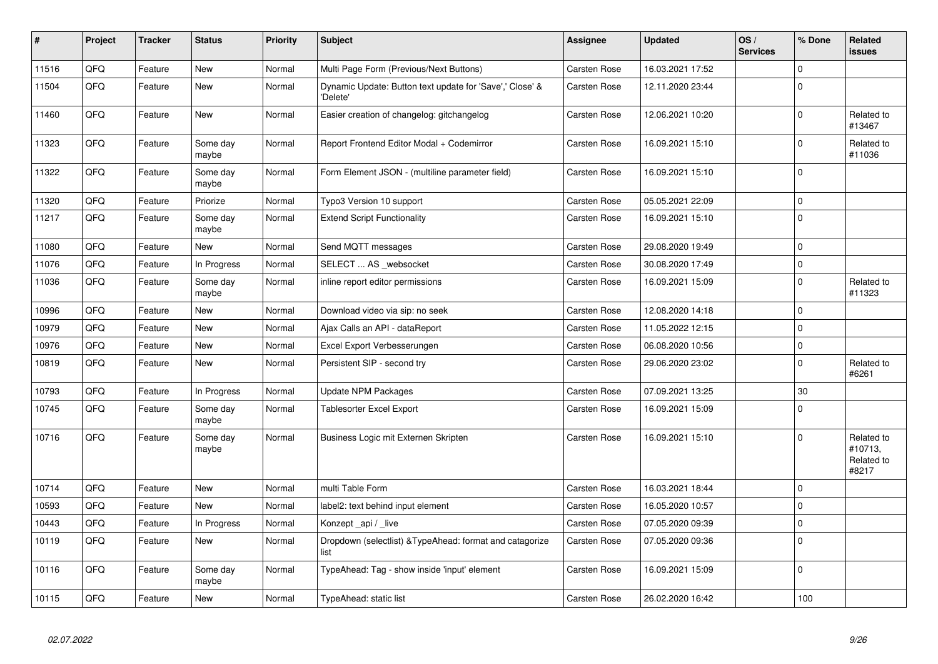| #     | Project | <b>Tracker</b> | <b>Status</b>     | <b>Priority</b> | <b>Subject</b>                                                       | <b>Assignee</b>     | <b>Updated</b>   | OS/<br><b>Services</b> | % Done      | Related<br><b>issues</b>                     |
|-------|---------|----------------|-------------------|-----------------|----------------------------------------------------------------------|---------------------|------------------|------------------------|-------------|----------------------------------------------|
| 11516 | QFQ     | Feature        | <b>New</b>        | Normal          | Multi Page Form (Previous/Next Buttons)                              | <b>Carsten Rose</b> | 16.03.2021 17:52 |                        | $\Omega$    |                                              |
| 11504 | QFQ     | Feature        | New               | Normal          | Dynamic Update: Button text update for 'Save',' Close' &<br>'Delete' | <b>Carsten Rose</b> | 12.11.2020 23:44 |                        | $\mathbf 0$ |                                              |
| 11460 | QFQ     | Feature        | <b>New</b>        | Normal          | Easier creation of changelog: gitchangelog                           | <b>Carsten Rose</b> | 12.06.2021 10:20 |                        | $\mathbf 0$ | Related to<br>#13467                         |
| 11323 | QFQ     | Feature        | Some day<br>maybe | Normal          | Report Frontend Editor Modal + Codemirror                            | Carsten Rose        | 16.09.2021 15:10 |                        | $\mathbf 0$ | Related to<br>#11036                         |
| 11322 | QFQ     | Feature        | Some day<br>maybe | Normal          | Form Element JSON - (multiline parameter field)                      | Carsten Rose        | 16.09.2021 15:10 |                        | $\mathbf 0$ |                                              |
| 11320 | QFQ     | Feature        | Priorize          | Normal          | Typo3 Version 10 support                                             | Carsten Rose        | 05.05.2021 22:09 |                        | $\mathbf 0$ |                                              |
| 11217 | QFQ     | Feature        | Some day<br>maybe | Normal          | <b>Extend Script Functionality</b>                                   | Carsten Rose        | 16.09.2021 15:10 |                        | $\mathbf 0$ |                                              |
| 11080 | QFQ     | Feature        | New               | Normal          | Send MQTT messages                                                   | Carsten Rose        | 29.08.2020 19:49 |                        | $\mathbf 0$ |                                              |
| 11076 | QFQ     | Feature        | In Progress       | Normal          | SELECT  AS websocket                                                 | Carsten Rose        | 30.08.2020 17:49 |                        | $\mathbf 0$ |                                              |
| 11036 | QFQ     | Feature        | Some day<br>maybe | Normal          | inline report editor permissions                                     | Carsten Rose        | 16.09.2021 15:09 |                        | $\mathbf 0$ | Related to<br>#11323                         |
| 10996 | QFQ     | Feature        | <b>New</b>        | Normal          | Download video via sip: no seek                                      | Carsten Rose        | 12.08.2020 14:18 |                        | $\mathbf 0$ |                                              |
| 10979 | QFQ     | Feature        | <b>New</b>        | Normal          | Ajax Calls an API - dataReport                                       | Carsten Rose        | 11.05.2022 12:15 |                        | $\mathbf 0$ |                                              |
| 10976 | QFQ     | Feature        | <b>New</b>        | Normal          | Excel Export Verbesserungen                                          | Carsten Rose        | 06.08.2020 10:56 |                        | $\mathbf 0$ |                                              |
| 10819 | QFQ     | Feature        | New               | Normal          | Persistent SIP - second try                                          | Carsten Rose        | 29.06.2020 23:02 |                        | $\mathbf 0$ | Related to<br>#6261                          |
| 10793 | QFQ     | Feature        | In Progress       | Normal          | <b>Update NPM Packages</b>                                           | Carsten Rose        | 07.09.2021 13:25 |                        | 30          |                                              |
| 10745 | QFQ     | Feature        | Some day<br>maybe | Normal          | <b>Tablesorter Excel Export</b>                                      | Carsten Rose        | 16.09.2021 15:09 |                        | $\Omega$    |                                              |
| 10716 | QFQ     | Feature        | Some day<br>maybe | Normal          | Business Logic mit Externen Skripten                                 | Carsten Rose        | 16.09.2021 15:10 |                        | $\Omega$    | Related to<br>#10713,<br>Related to<br>#8217 |
| 10714 | QFQ     | Feature        | New               | Normal          | multi Table Form                                                     | <b>Carsten Rose</b> | 16.03.2021 18:44 |                        | $\mathbf 0$ |                                              |
| 10593 | QFQ     | Feature        | <b>New</b>        | Normal          | label2: text behind input element                                    | <b>Carsten Rose</b> | 16.05.2020 10:57 |                        | $\mathbf 0$ |                                              |
| 10443 | QFQ     | Feature        | In Progress       | Normal          | Konzept _api / _live                                                 | Carsten Rose        | 07.05.2020 09:39 |                        | $\pmb{0}$   |                                              |
| 10119 | QFQ     | Feature        | <b>New</b>        | Normal          | Dropdown (selectlist) & TypeAhead: format and catagorize<br>list     | Carsten Rose        | 07.05.2020 09:36 |                        | $\mathbf 0$ |                                              |
| 10116 | QFQ     | Feature        | Some day<br>maybe | Normal          | TypeAhead: Tag - show inside 'input' element                         | Carsten Rose        | 16.09.2021 15:09 |                        | $\mathbf 0$ |                                              |
| 10115 | QFQ     | Feature        | New               | Normal          | TypeAhead: static list                                               | <b>Carsten Rose</b> | 26.02.2020 16:42 |                        | 100         |                                              |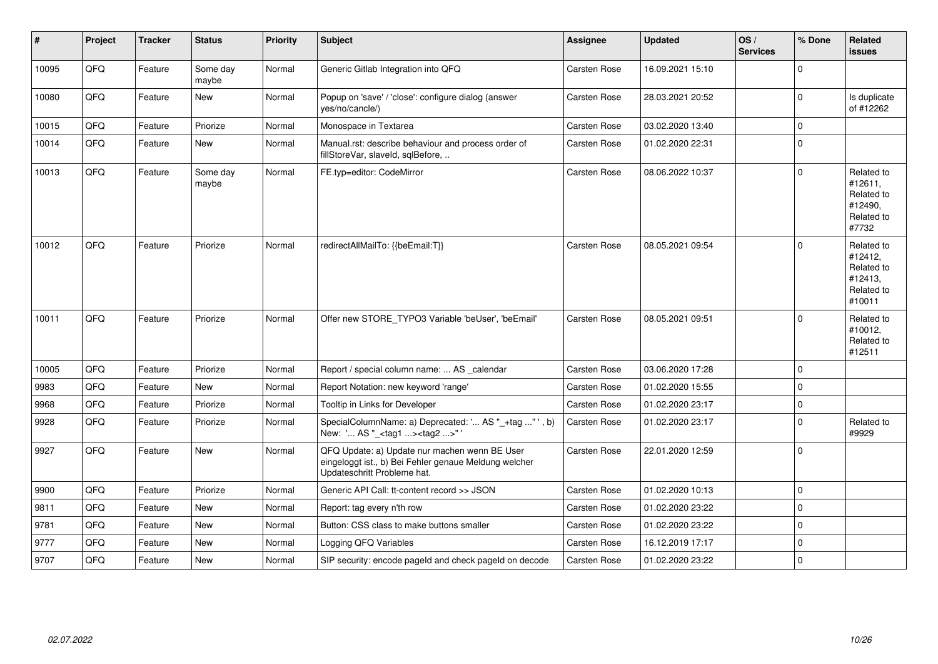| #     | Project | <b>Tracker</b> | <b>Status</b>     | <b>Priority</b> | <b>Subject</b>                                                                                                                        | Assignee            | <b>Updated</b>   | OS/<br><b>Services</b> | % Done      | Related<br><b>issues</b>                                               |
|-------|---------|----------------|-------------------|-----------------|---------------------------------------------------------------------------------------------------------------------------------------|---------------------|------------------|------------------------|-------------|------------------------------------------------------------------------|
| 10095 | QFQ     | Feature        | Some day<br>maybe | Normal          | Generic Gitlab Integration into QFQ                                                                                                   | <b>Carsten Rose</b> | 16.09.2021 15:10 |                        | $\mathbf 0$ |                                                                        |
| 10080 | QFQ     | Feature        | New               | Normal          | Popup on 'save' / 'close': configure dialog (answer<br>yes/no/cancle/)                                                                | <b>Carsten Rose</b> | 28.03.2021 20:52 |                        | 0           | Is duplicate<br>of #12262                                              |
| 10015 | QFQ     | Feature        | Priorize          | Normal          | Monospace in Textarea                                                                                                                 | Carsten Rose        | 03.02.2020 13:40 |                        | $\pmb{0}$   |                                                                        |
| 10014 | QFQ     | Feature        | New               | Normal          | Manual.rst: describe behaviour and process order of<br>fillStoreVar, slaveId, sqlBefore,                                              | <b>Carsten Rose</b> | 01.02.2020 22:31 |                        | $\mathbf 0$ |                                                                        |
| 10013 | QFQ     | Feature        | Some day<br>maybe | Normal          | FE.typ=editor: CodeMirror                                                                                                             | Carsten Rose        | 08.06.2022 10:37 |                        | $\mathbf 0$ | Related to<br>#12611,<br>Related to<br>#12490.<br>Related to<br>#7732  |
| 10012 | QFQ     | Feature        | Priorize          | Normal          | redirectAllMailTo: {{beEmail:T}}                                                                                                      | <b>Carsten Rose</b> | 08.05.2021 09:54 |                        | $\Omega$    | Related to<br>#12412,<br>Related to<br>#12413,<br>Related to<br>#10011 |
| 10011 | QFQ     | Feature        | Priorize          | Normal          | Offer new STORE_TYPO3 Variable 'beUser', 'beEmail'                                                                                    | <b>Carsten Rose</b> | 08.05.2021 09:51 |                        | $\mathbf 0$ | Related to<br>#10012,<br>Related to<br>#12511                          |
| 10005 | QFQ     | Feature        | Priorize          | Normal          | Report / special column name:  AS _calendar                                                                                           | Carsten Rose        | 03.06.2020 17:28 |                        | $\mathbf 0$ |                                                                        |
| 9983  | QFQ     | Feature        | New               | Normal          | Report Notation: new keyword 'range'                                                                                                  | Carsten Rose        | 01.02.2020 15:55 |                        | $\mathbf 0$ |                                                                        |
| 9968  | QFQ     | Feature        | Priorize          | Normal          | Tooltip in Links for Developer                                                                                                        | Carsten Rose        | 01.02.2020 23:17 |                        | $\pmb{0}$   |                                                                        |
| 9928  | QFQ     | Feature        | Priorize          | Normal          | SpecialColumnName: a) Deprecated: ' AS "_+tag " ', b)<br>New: ' AS "_ <tag1><tag2>"</tag2></tag1>                                     | Carsten Rose        | 01.02.2020 23:17 |                        | $\pmb{0}$   | Related to<br>#9929                                                    |
| 9927  | QFQ     | Feature        | New               | Normal          | QFQ Update: a) Update nur machen wenn BE User<br>eingeloggt ist., b) Bei Fehler genaue Meldung welcher<br>Updateschritt Probleme hat. | Carsten Rose        | 22.01.2020 12:59 |                        | $\mathbf 0$ |                                                                        |
| 9900  | QFQ     | Feature        | Priorize          | Normal          | Generic API Call: tt-content record >> JSON                                                                                           | Carsten Rose        | 01.02.2020 10:13 |                        | $\mathbf 0$ |                                                                        |
| 9811  | QFQ     | Feature        | <b>New</b>        | Normal          | Report: tag every n'th row                                                                                                            | Carsten Rose        | 01.02.2020 23:22 |                        | $\mathbf 0$ |                                                                        |
| 9781  | QFQ     | Feature        | <b>New</b>        | Normal          | Button: CSS class to make buttons smaller                                                                                             | Carsten Rose        | 01.02.2020 23:22 |                        | $\mathbf 0$ |                                                                        |
| 9777  | QFQ     | Feature        | <b>New</b>        | Normal          | Logging QFQ Variables                                                                                                                 | <b>Carsten Rose</b> | 16.12.2019 17:17 |                        | $\mathbf 0$ |                                                                        |
| 9707  | QFQ     | Feature        | New               | Normal          | SIP security: encode pageld and check pageld on decode                                                                                | <b>Carsten Rose</b> | 01.02.2020 23:22 |                        | $\mathbf 0$ |                                                                        |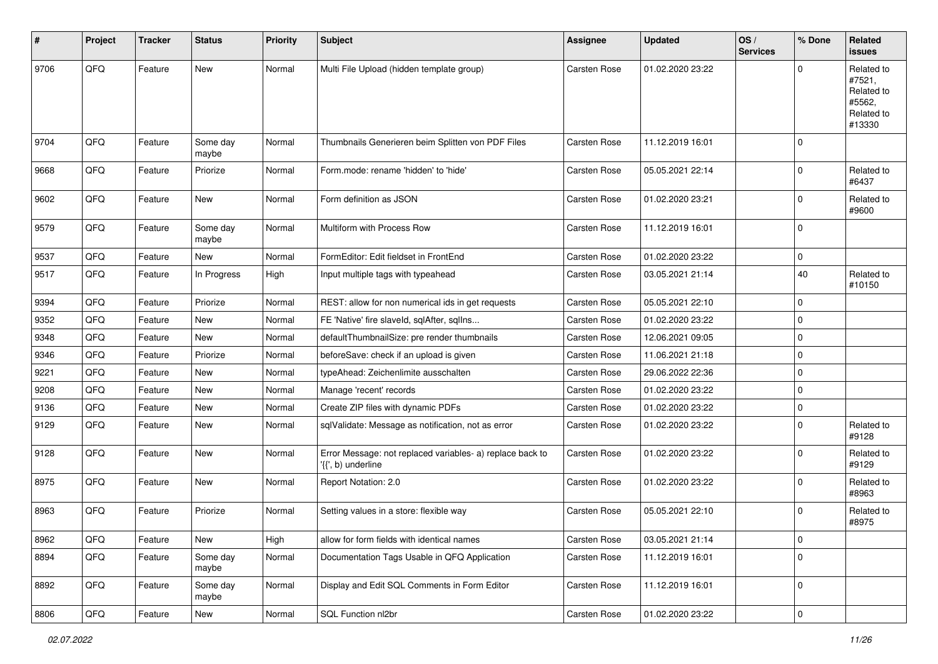| $\vert$ # | Project | <b>Tracker</b> | <b>Status</b>     | <b>Priority</b> | <b>Subject</b>                                                                  | <b>Assignee</b>     | <b>Updated</b>   | OS/<br><b>Services</b> | % Done      | Related<br>issues                                                    |
|-----------|---------|----------------|-------------------|-----------------|---------------------------------------------------------------------------------|---------------------|------------------|------------------------|-------------|----------------------------------------------------------------------|
| 9706      | QFQ     | Feature        | <b>New</b>        | Normal          | Multi File Upload (hidden template group)                                       | Carsten Rose        | 01.02.2020 23:22 |                        | $\Omega$    | Related to<br>#7521,<br>Related to<br>#5562,<br>Related to<br>#13330 |
| 9704      | QFQ     | Feature        | Some day<br>maybe | Normal          | Thumbnails Generieren beim Splitten von PDF Files                               | Carsten Rose        | 11.12.2019 16:01 |                        | $\Omega$    |                                                                      |
| 9668      | QFQ     | Feature        | Priorize          | Normal          | Form.mode: rename 'hidden' to 'hide'                                            | Carsten Rose        | 05.05.2021 22:14 |                        | $\Omega$    | Related to<br>#6437                                                  |
| 9602      | QFQ     | Feature        | <b>New</b>        | Normal          | Form definition as JSON                                                         | Carsten Rose        | 01.02.2020 23:21 |                        | $\mathbf 0$ | Related to<br>#9600                                                  |
| 9579      | QFQ     | Feature        | Some day<br>maybe | Normal          | Multiform with Process Row                                                      | Carsten Rose        | 11.12.2019 16:01 |                        | 0           |                                                                      |
| 9537      | QFQ     | Feature        | New               | Normal          | FormEditor: Edit fieldset in FrontEnd                                           | Carsten Rose        | 01.02.2020 23:22 |                        | 0           |                                                                      |
| 9517      | QFQ     | Feature        | In Progress       | High            | Input multiple tags with typeahead                                              | Carsten Rose        | 03.05.2021 21:14 |                        | 40          | Related to<br>#10150                                                 |
| 9394      | QFQ     | Feature        | Priorize          | Normal          | REST: allow for non numerical ids in get requests                               | Carsten Rose        | 05.05.2021 22:10 |                        | 0           |                                                                      |
| 9352      | QFQ     | Feature        | New               | Normal          | FE 'Native' fire slaveld, sqlAfter, sqlIns                                      | Carsten Rose        | 01.02.2020 23:22 |                        | $\mathbf 0$ |                                                                      |
| 9348      | QFQ     | Feature        | New               | Normal          | defaultThumbnailSize: pre render thumbnails                                     | <b>Carsten Rose</b> | 12.06.2021 09:05 |                        | $\mathbf 0$ |                                                                      |
| 9346      | QFQ     | Feature        | Priorize          | Normal          | beforeSave: check if an upload is given                                         | Carsten Rose        | 11.06.2021 21:18 |                        | 0           |                                                                      |
| 9221      | QFQ     | Feature        | New               | Normal          | typeAhead: Zeichenlimite ausschalten                                            | Carsten Rose        | 29.06.2022 22:36 |                        | $\Omega$    |                                                                      |
| 9208      | QFQ     | Feature        | <b>New</b>        | Normal          | Manage 'recent' records                                                         | Carsten Rose        | 01.02.2020 23:22 |                        | $\mathbf 0$ |                                                                      |
| 9136      | QFQ     | Feature        | <b>New</b>        | Normal          | Create ZIP files with dynamic PDFs                                              | Carsten Rose        | 01.02.2020 23:22 |                        | 0           |                                                                      |
| 9129      | QFQ     | Feature        | New               | Normal          | sqlValidate: Message as notification, not as error                              | Carsten Rose        | 01.02.2020 23:22 |                        | $\Omega$    | Related to<br>#9128                                                  |
| 9128      | QFQ     | Feature        | New               | Normal          | Error Message: not replaced variables- a) replace back to<br>'{{', b) underline | Carsten Rose        | 01.02.2020 23:22 |                        | $\Omega$    | Related to<br>#9129                                                  |
| 8975      | QFQ     | Feature        | <b>New</b>        | Normal          | Report Notation: 2.0                                                            | Carsten Rose        | 01.02.2020 23:22 |                        | $\mathbf 0$ | Related to<br>#8963                                                  |
| 8963      | QFQ     | Feature        | Priorize          | Normal          | Setting values in a store: flexible way                                         | <b>Carsten Rose</b> | 05.05.2021 22:10 |                        | $\mathbf 0$ | Related to<br>#8975                                                  |
| 8962      | QFG     | Feature        | New               | High            | allow for form fields with identical names                                      | Carsten Rose        | 03.05.2021 21:14 |                        | 0           |                                                                      |
| 8894      | QFQ     | Feature        | Some day<br>maybe | Normal          | Documentation Tags Usable in QFQ Application                                    | Carsten Rose        | 11.12.2019 16:01 |                        | $\mathbf 0$ |                                                                      |
| 8892      | QFQ     | Feature        | Some day<br>maybe | Normal          | Display and Edit SQL Comments in Form Editor                                    | Carsten Rose        | 11.12.2019 16:01 |                        | 0           |                                                                      |
| 8806      | QFG     | Feature        | New               | Normal          | SQL Function nl2br                                                              | Carsten Rose        | 01.02.2020 23:22 |                        | $\pmb{0}$   |                                                                      |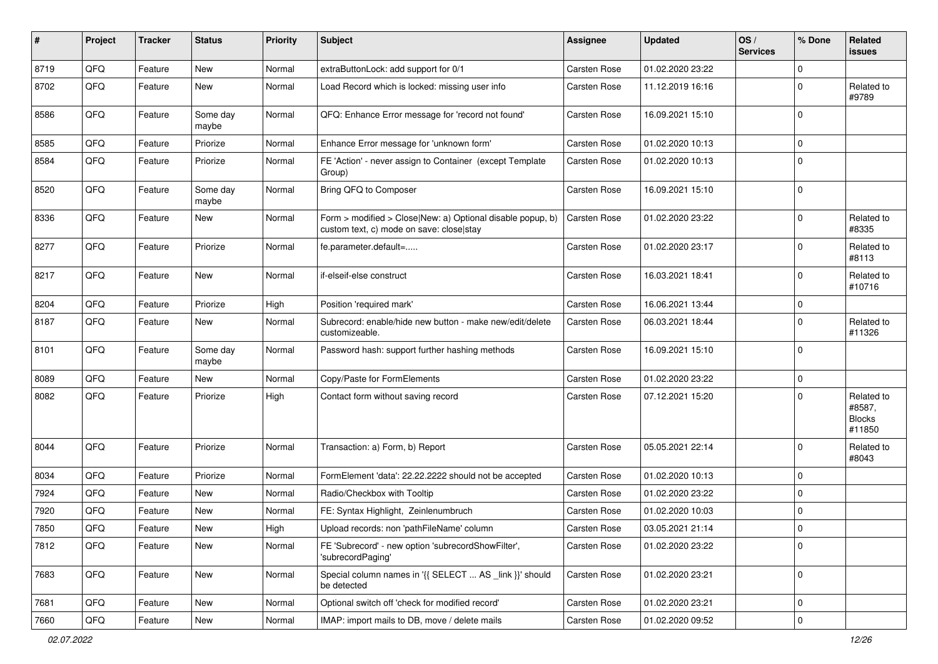| #    | Project | <b>Tracker</b> | <b>Status</b>     | <b>Priority</b> | Subject                                                                                                | <b>Assignee</b>     | <b>Updated</b>   | OS/<br><b>Services</b> | % Done      | Related<br>issues                               |
|------|---------|----------------|-------------------|-----------------|--------------------------------------------------------------------------------------------------------|---------------------|------------------|------------------------|-------------|-------------------------------------------------|
| 8719 | QFQ     | Feature        | <b>New</b>        | Normal          | extraButtonLock: add support for 0/1                                                                   | <b>Carsten Rose</b> | 01.02.2020 23:22 |                        | $\mathbf 0$ |                                                 |
| 8702 | QFQ     | Feature        | New               | Normal          | Load Record which is locked: missing user info                                                         | Carsten Rose        | 11.12.2019 16:16 |                        | $\mathbf 0$ | Related to<br>#9789                             |
| 8586 | QFQ     | Feature        | Some day<br>maybe | Normal          | QFQ: Enhance Error message for 'record not found'                                                      | Carsten Rose        | 16.09.2021 15:10 |                        | $\mathbf 0$ |                                                 |
| 8585 | QFQ     | Feature        | Priorize          | Normal          | Enhance Error message for 'unknown form'                                                               | Carsten Rose        | 01.02.2020 10:13 |                        | $\mathbf 0$ |                                                 |
| 8584 | QFQ     | Feature        | Priorize          | Normal          | FE 'Action' - never assign to Container (except Template<br>Group)                                     | Carsten Rose        | 01.02.2020 10:13 |                        | $\mathbf 0$ |                                                 |
| 8520 | QFQ     | Feature        | Some day<br>maybe | Normal          | Bring QFQ to Composer                                                                                  | Carsten Rose        | 16.09.2021 15:10 |                        | $\mathbf 0$ |                                                 |
| 8336 | QFQ     | Feature        | New               | Normal          | Form > modified > Close New: a) Optional disable popup, b)<br>custom text, c) mode on save: close stay | Carsten Rose        | 01.02.2020 23:22 |                        | $\mathbf 0$ | Related to<br>#8335                             |
| 8277 | QFQ     | Feature        | Priorize          | Normal          | fe.parameter.default=                                                                                  | Carsten Rose        | 01.02.2020 23:17 |                        | $\mathbf 0$ | Related to<br>#8113                             |
| 8217 | QFQ     | Feature        | New               | Normal          | if-elseif-else construct                                                                               | Carsten Rose        | 16.03.2021 18:41 |                        | $\mathbf 0$ | Related to<br>#10716                            |
| 8204 | QFQ     | Feature        | Priorize          | High            | Position 'required mark'                                                                               | <b>Carsten Rose</b> | 16.06.2021 13:44 |                        | $\mathbf 0$ |                                                 |
| 8187 | QFQ     | Feature        | New               | Normal          | Subrecord: enable/hide new button - make new/edit/delete<br>customizeable.                             | Carsten Rose        | 06.03.2021 18:44 |                        | $\mathbf 0$ | Related to<br>#11326                            |
| 8101 | QFQ     | Feature        | Some day<br>maybe | Normal          | Password hash: support further hashing methods                                                         | Carsten Rose        | 16.09.2021 15:10 |                        | $\mathbf 0$ |                                                 |
| 8089 | QFQ     | Feature        | New               | Normal          | Copy/Paste for FormElements                                                                            | Carsten Rose        | 01.02.2020 23:22 |                        | $\mathbf 0$ |                                                 |
| 8082 | QFQ     | Feature        | Priorize          | High            | Contact form without saving record                                                                     | Carsten Rose        | 07.12.2021 15:20 |                        | $\Omega$    | Related to<br>#8587,<br><b>Blocks</b><br>#11850 |
| 8044 | QFQ     | Feature        | Priorize          | Normal          | Transaction: a) Form, b) Report                                                                        | Carsten Rose        | 05.05.2021 22:14 |                        | $\mathbf 0$ | Related to<br>#8043                             |
| 8034 | QFQ     | Feature        | Priorize          | Normal          | FormElement 'data': 22.22.2222 should not be accepted                                                  | Carsten Rose        | 01.02.2020 10:13 |                        | $\mathbf 0$ |                                                 |
| 7924 | QFQ     | Feature        | New               | Normal          | Radio/Checkbox with Tooltip                                                                            | Carsten Rose        | 01.02.2020 23:22 |                        | $\mathbf 0$ |                                                 |
| 7920 | QFQ     | Feature        | New               | Normal          | FE: Syntax Highlight, Zeinlenumbruch                                                                   | Carsten Rose        | 01.02.2020 10:03 |                        | $\mathbf 0$ |                                                 |
| 7850 | QFQ     | Feature        | New               | High            | Upload records: non 'pathFileName' column                                                              | <b>Carsten Rose</b> | 03.05.2021 21:14 |                        | $\Omega$    |                                                 |
| 7812 | QFQ     | Feature        | New               | Normal          | FE 'Subrecord' - new option 'subrecordShowFilter',<br>'subrecordPaging'                                | Carsten Rose        | 01.02.2020 23:22 |                        | $\mathbf 0$ |                                                 |
| 7683 | QFQ     | Feature        | New               | Normal          | Special column names in '{{ SELECT  AS link }}' should<br>be detected                                  | Carsten Rose        | 01.02.2020 23:21 |                        | 0           |                                                 |
| 7681 | QFQ     | Feature        | New               | Normal          | Optional switch off 'check for modified record'                                                        | Carsten Rose        | 01.02.2020 23:21 |                        | $\mathbf 0$ |                                                 |
| 7660 | QFQ     | Feature        | New               | Normal          | IMAP: import mails to DB, move / delete mails                                                          | Carsten Rose        | 01.02.2020 09:52 |                        | 0           |                                                 |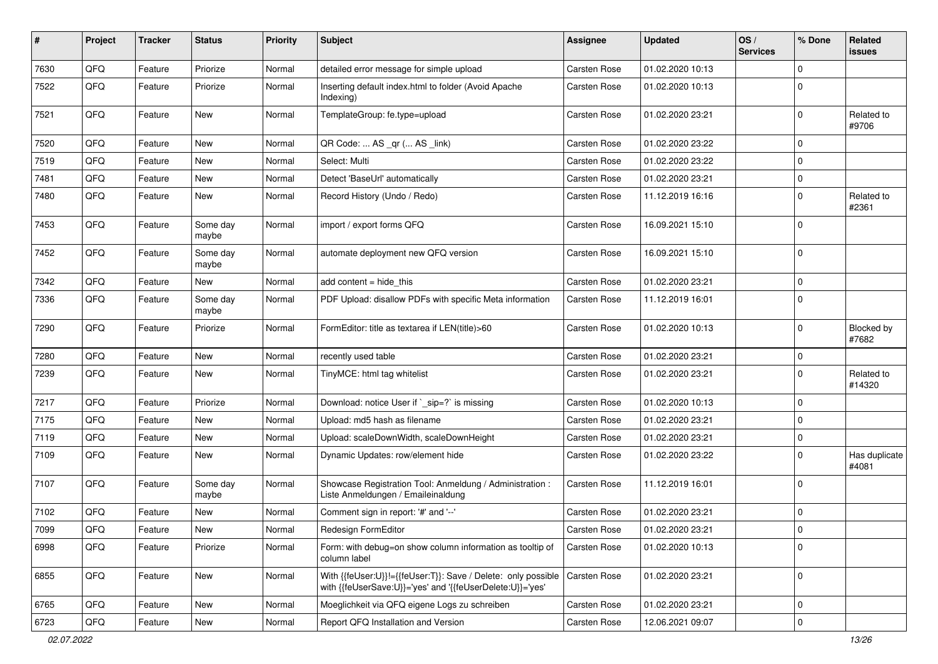| #    | Project | <b>Tracker</b> | <b>Status</b>     | <b>Priority</b> | Subject                                                                                                                    | <b>Assignee</b>     | <b>Updated</b>   | OS/<br><b>Services</b> | % Done      | Related<br>issues      |
|------|---------|----------------|-------------------|-----------------|----------------------------------------------------------------------------------------------------------------------------|---------------------|------------------|------------------------|-------------|------------------------|
| 7630 | QFQ     | Feature        | Priorize          | Normal          | detailed error message for simple upload                                                                                   | <b>Carsten Rose</b> | 01.02.2020 10:13 |                        | $\mathbf 0$ |                        |
| 7522 | QFQ     | Feature        | Priorize          | Normal          | Inserting default index.html to folder (Avoid Apache<br>Indexing)                                                          | Carsten Rose        | 01.02.2020 10:13 |                        | $\Omega$    |                        |
| 7521 | QFQ     | Feature        | New               | Normal          | TemplateGroup: fe.type=upload                                                                                              | Carsten Rose        | 01.02.2020 23:21 |                        | $\Omega$    | Related to<br>#9706    |
| 7520 | QFQ     | Feature        | New               | Normal          | QR Code:  AS _qr ( AS _link)                                                                                               | <b>Carsten Rose</b> | 01.02.2020 23:22 |                        | $\mathbf 0$ |                        |
| 7519 | QFQ     | Feature        | New               | Normal          | Select: Multi                                                                                                              | Carsten Rose        | 01.02.2020 23:22 |                        | $\mathbf 0$ |                        |
| 7481 | QFQ     | Feature        | New               | Normal          | Detect 'BaseUrl' automatically                                                                                             | <b>Carsten Rose</b> | 01.02.2020 23:21 |                        | $\mathbf 0$ |                        |
| 7480 | QFQ     | Feature        | New               | Normal          | Record History (Undo / Redo)                                                                                               | Carsten Rose        | 11.12.2019 16:16 |                        | $\Omega$    | Related to<br>#2361    |
| 7453 | QFQ     | Feature        | Some day<br>maybe | Normal          | import / export forms QFQ                                                                                                  | Carsten Rose        | 16.09.2021 15:10 |                        | $\mathbf 0$ |                        |
| 7452 | QFQ     | Feature        | Some day<br>maybe | Normal          | automate deployment new QFQ version                                                                                        | Carsten Rose        | 16.09.2021 15:10 |                        | $\mathbf 0$ |                        |
| 7342 | QFQ     | Feature        | New               | Normal          | add content $=$ hide this                                                                                                  | <b>Carsten Rose</b> | 01.02.2020 23:21 |                        | $\mathbf 0$ |                        |
| 7336 | QFQ     | Feature        | Some day<br>maybe | Normal          | PDF Upload: disallow PDFs with specific Meta information                                                                   | Carsten Rose        | 11.12.2019 16:01 |                        | $\Omega$    |                        |
| 7290 | QFQ     | Feature        | Priorize          | Normal          | FormEditor: title as textarea if LEN(title)>60                                                                             | Carsten Rose        | 01.02.2020 10:13 |                        | $\mathbf 0$ | Blocked by<br>#7682    |
| 7280 | QFQ     | Feature        | New               | Normal          | recently used table                                                                                                        | Carsten Rose        | 01.02.2020 23:21 |                        | $\mathbf 0$ |                        |
| 7239 | QFQ     | Feature        | New               | Normal          | TinyMCE: html tag whitelist                                                                                                | Carsten Rose        | 01.02.2020 23:21 |                        | $\Omega$    | Related to<br>#14320   |
| 7217 | QFQ     | Feature        | Priorize          | Normal          | Download: notice User if `_sip=?` is missing                                                                               | <b>Carsten Rose</b> | 01.02.2020 10:13 |                        | $\mathbf 0$ |                        |
| 7175 | QFQ     | Feature        | New               | Normal          | Upload: md5 hash as filename                                                                                               | Carsten Rose        | 01.02.2020 23:21 |                        | $\mathbf 0$ |                        |
| 7119 | QFQ     | Feature        | New               | Normal          | Upload: scaleDownWidth, scaleDownHeight                                                                                    | Carsten Rose        | 01.02.2020 23:21 |                        | $\mathbf 0$ |                        |
| 7109 | QFQ     | Feature        | New               | Normal          | Dynamic Updates: row/element hide                                                                                          | Carsten Rose        | 01.02.2020 23:22 |                        | $\mathbf 0$ | Has duplicate<br>#4081 |
| 7107 | QFQ     | Feature        | Some day<br>maybe | Normal          | Showcase Registration Tool: Anmeldung / Administration :<br>Liste Anmeldungen / Emaileinaldung                             | Carsten Rose        | 11.12.2019 16:01 |                        | $\mathbf 0$ |                        |
| 7102 | QFQ     | Feature        | New               | Normal          | Comment sign in report: '#' and '--'                                                                                       | Carsten Rose        | 01.02.2020 23:21 |                        | 0           |                        |
| 7099 | QFG     | Feature        | New               | Normal          | Redesign FormEditor                                                                                                        | Carsten Rose        | 01.02.2020 23:21 |                        | 0           |                        |
| 6998 | QFQ     | Feature        | Priorize          | Normal          | Form: with debug=on show column information as tooltip of<br>column label                                                  | Carsten Rose        | 01.02.2020 10:13 |                        | $\mathbf 0$ |                        |
| 6855 | QFQ     | Feature        | New               | Normal          | With {{feUser:U}}!={{feUser:T}}: Save / Delete: only possible<br>with {{feUserSave:U}}='yes' and '{{feUserDelete:U}}='yes' | <b>Carsten Rose</b> | 01.02.2020 23:21 |                        | $\mathbf 0$ |                        |
| 6765 | QFQ     | Feature        | New               | Normal          | Moeglichkeit via QFQ eigene Logs zu schreiben                                                                              | Carsten Rose        | 01.02.2020 23:21 |                        | $\mathbf 0$ |                        |
| 6723 | QFQ     | Feature        | New               | Normal          | Report QFQ Installation and Version                                                                                        | Carsten Rose        | 12.06.2021 09:07 |                        | $\mathbf 0$ |                        |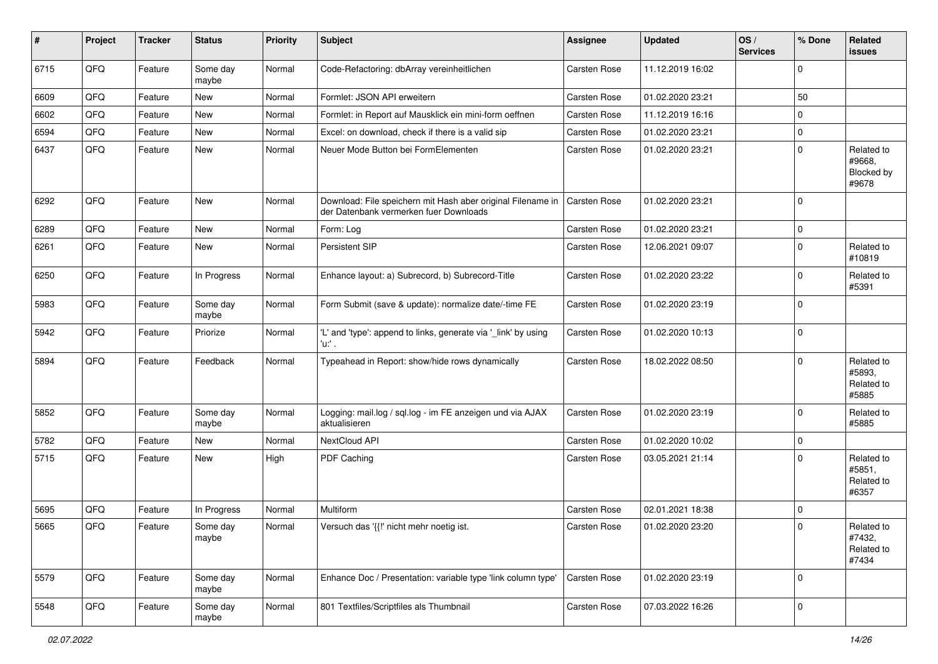| $\vert$ # | Project | <b>Tracker</b> | <b>Status</b>     | <b>Priority</b> | <b>Subject</b>                                                                                        | <b>Assignee</b>     | <b>Updated</b>   | OS/<br><b>Services</b> | % Done      | Related<br>issues                           |
|-----------|---------|----------------|-------------------|-----------------|-------------------------------------------------------------------------------------------------------|---------------------|------------------|------------------------|-------------|---------------------------------------------|
| 6715      | QFQ     | Feature        | Some day<br>maybe | Normal          | Code-Refactoring: dbArray vereinheitlichen                                                            | Carsten Rose        | 11.12.2019 16:02 |                        | $\Omega$    |                                             |
| 6609      | QFQ     | Feature        | New               | Normal          | Formlet: JSON API erweitern                                                                           | Carsten Rose        | 01.02.2020 23:21 |                        | 50          |                                             |
| 6602      | QFQ     | Feature        | <b>New</b>        | Normal          | Formlet: in Report auf Mausklick ein mini-form oeffnen                                                | Carsten Rose        | 11.12.2019 16:16 |                        | $\Omega$    |                                             |
| 6594      | QFQ     | Feature        | New               | Normal          | Excel: on download, check if there is a valid sip                                                     | Carsten Rose        | 01.02.2020 23:21 |                        | $\mathbf 0$ |                                             |
| 6437      | QFQ     | Feature        | New               | Normal          | Neuer Mode Button bei FormElementen                                                                   | Carsten Rose        | 01.02.2020 23:21 |                        | $\Omega$    | Related to<br>#9668,<br>Blocked by<br>#9678 |
| 6292      | QFQ     | Feature        | <b>New</b>        | Normal          | Download: File speichern mit Hash aber original Filename in<br>der Datenbank vermerken fuer Downloads | Carsten Rose        | 01.02.2020 23:21 |                        | $\Omega$    |                                             |
| 6289      | QFQ     | Feature        | <b>New</b>        | Normal          | Form: Log                                                                                             | Carsten Rose        | 01.02.2020 23:21 |                        | $\mathbf 0$ |                                             |
| 6261      | QFQ     | Feature        | <b>New</b>        | Normal          | Persistent SIP                                                                                        | <b>Carsten Rose</b> | 12.06.2021 09:07 |                        | $\mathbf 0$ | Related to<br>#10819                        |
| 6250      | QFQ     | Feature        | In Progress       | Normal          | Enhance layout: a) Subrecord, b) Subrecord-Title                                                      | Carsten Rose        | 01.02.2020 23:22 |                        | $\Omega$    | Related to<br>#5391                         |
| 5983      | QFQ     | Feature        | Some day<br>maybe | Normal          | Form Submit (save & update): normalize date/-time FE                                                  | Carsten Rose        | 01.02.2020 23:19 |                        | $\Omega$    |                                             |
| 5942      | QFQ     | Feature        | Priorize          | Normal          | 'L' and 'type': append to links, generate via '_link' by using<br>'u:' .                              | Carsten Rose        | 01.02.2020 10:13 |                        | $\mathbf 0$ |                                             |
| 5894      | QFQ     | Feature        | Feedback          | Normal          | Typeahead in Report: show/hide rows dynamically                                                       | Carsten Rose        | 18.02.2022 08:50 |                        | $\Omega$    | Related to<br>#5893,<br>Related to<br>#5885 |
| 5852      | QFQ     | Feature        | Some day<br>maybe | Normal          | Logging: mail.log / sql.log - im FE anzeigen und via AJAX<br>aktualisieren                            | Carsten Rose        | 01.02.2020 23:19 |                        | $\Omega$    | Related to<br>#5885                         |
| 5782      | QFQ     | Feature        | New               | Normal          | NextCloud API                                                                                         | Carsten Rose        | 01.02.2020 10:02 |                        | $\mathbf 0$ |                                             |
| 5715      | QFQ     | Feature        | New               | High            | PDF Caching                                                                                           | Carsten Rose        | 03.05.2021 21:14 |                        | $\Omega$    | Related to<br>#5851,<br>Related to<br>#6357 |
| 5695      | QFQ     | Feature        | In Progress       | Normal          | Multiform                                                                                             | <b>Carsten Rose</b> | 02.01.2021 18:38 |                        | 0           |                                             |
| 5665      | QFQ     | Feature        | Some day<br>maybe | Normal          | Versuch das '{{!' nicht mehr noetig ist.                                                              | <b>Carsten Rose</b> | 01.02.2020 23:20 |                        | $\Omega$    | Related to<br>#7432,<br>Related to<br>#7434 |
| 5579      | QFQ     | Feature        | Some day<br>maybe | Normal          | Enhance Doc / Presentation: variable type 'link column type'                                          | Carsten Rose        | 01.02.2020 23:19 |                        | $\mathbf 0$ |                                             |
| 5548      | QFQ     | Feature        | Some day<br>maybe | Normal          | 801 Textfiles/Scriptfiles als Thumbnail                                                               | Carsten Rose        | 07.03.2022 16:26 |                        | 0           |                                             |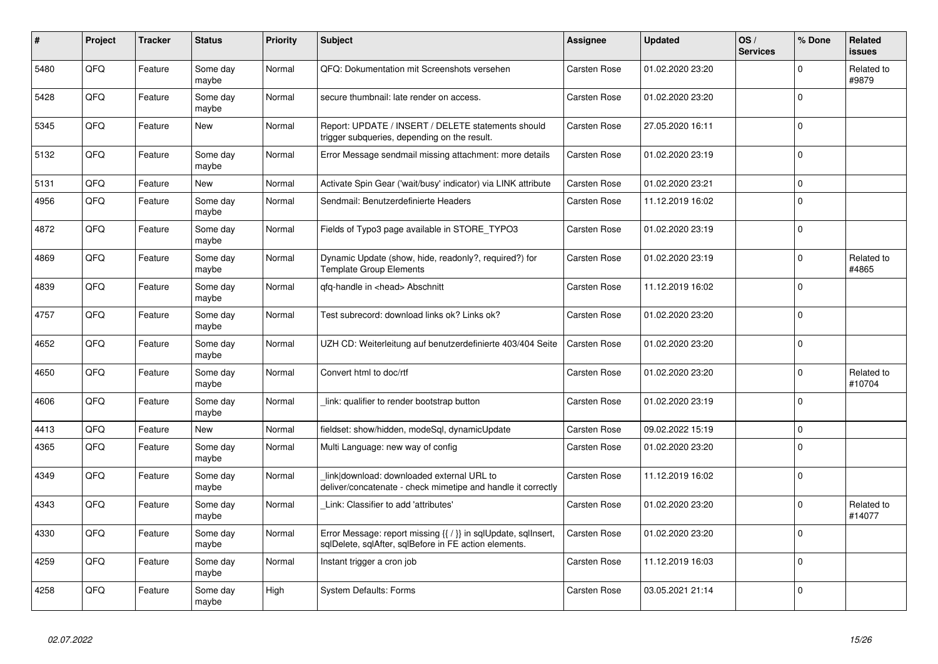| #    | Project | <b>Tracker</b> | <b>Status</b>     | <b>Priority</b> | <b>Subject</b>                                                                                                          | Assignee            | <b>Updated</b>   | OS/<br><b>Services</b> | % Done      | Related<br><b>issues</b> |
|------|---------|----------------|-------------------|-----------------|-------------------------------------------------------------------------------------------------------------------------|---------------------|------------------|------------------------|-------------|--------------------------|
| 5480 | QFQ     | Feature        | Some day<br>maybe | Normal          | QFQ: Dokumentation mit Screenshots versehen                                                                             | Carsten Rose        | 01.02.2020 23:20 |                        | $\mathbf 0$ | Related to<br>#9879      |
| 5428 | QFQ     | Feature        | Some day<br>maybe | Normal          | secure thumbnail: late render on access.                                                                                | Carsten Rose        | 01.02.2020 23:20 |                        | $\mathbf 0$ |                          |
| 5345 | QFQ     | Feature        | New               | Normal          | Report: UPDATE / INSERT / DELETE statements should<br>trigger subqueries, depending on the result.                      | Carsten Rose        | 27.05.2020 16:11 |                        | $\Omega$    |                          |
| 5132 | QFQ     | Feature        | Some day<br>maybe | Normal          | Error Message sendmail missing attachment: more details                                                                 | Carsten Rose        | 01.02.2020 23:19 |                        | $\mathbf 0$ |                          |
| 5131 | QFQ     | Feature        | <b>New</b>        | Normal          | Activate Spin Gear ('wait/busy' indicator) via LINK attribute                                                           | <b>Carsten Rose</b> | 01.02.2020 23:21 |                        | $\mathbf 0$ |                          |
| 4956 | QFQ     | Feature        | Some day<br>maybe | Normal          | Sendmail: Benutzerdefinierte Headers                                                                                    | Carsten Rose        | 11.12.2019 16:02 |                        | $\mathbf 0$ |                          |
| 4872 | QFQ     | Feature        | Some day<br>maybe | Normal          | Fields of Typo3 page available in STORE TYPO3                                                                           | Carsten Rose        | 01.02.2020 23:19 |                        | $\mathbf 0$ |                          |
| 4869 | QFQ     | Feature        | Some day<br>maybe | Normal          | Dynamic Update (show, hide, readonly?, required?) for<br><b>Template Group Elements</b>                                 | Carsten Rose        | 01.02.2020 23:19 |                        | $\mathbf 0$ | Related to<br>#4865      |
| 4839 | QFQ     | Feature        | Some day<br>maybe | Normal          | gfg-handle in <head> Abschnitt</head>                                                                                   | Carsten Rose        | 11.12.2019 16:02 |                        | $\mathbf 0$ |                          |
| 4757 | QFQ     | Feature        | Some day<br>maybe | Normal          | Test subrecord: download links ok? Links ok?                                                                            | Carsten Rose        | 01.02.2020 23:20 |                        | $\Omega$    |                          |
| 4652 | QFQ     | Feature        | Some day<br>maybe | Normal          | UZH CD: Weiterleitung auf benutzerdefinierte 403/404 Seite                                                              | Carsten Rose        | 01.02.2020 23:20 |                        | $\mathbf 0$ |                          |
| 4650 | QFQ     | Feature        | Some day<br>maybe | Normal          | Convert html to doc/rtf                                                                                                 | Carsten Rose        | 01.02.2020 23:20 |                        | $\Omega$    | Related to<br>#10704     |
| 4606 | QFQ     | Feature        | Some day<br>maybe | Normal          | link: qualifier to render bootstrap button                                                                              | Carsten Rose        | 01.02.2020 23:19 |                        | $\mathbf 0$ |                          |
| 4413 | QFQ     | Feature        | <b>New</b>        | Normal          | fieldset: show/hidden, modeSgl, dynamicUpdate                                                                           | Carsten Rose        | 09.02.2022 15:19 |                        | $\mathbf 0$ |                          |
| 4365 | QFQ     | Feature        | Some day<br>maybe | Normal          | Multi Language: new way of config                                                                                       | Carsten Rose        | 01.02.2020 23:20 |                        | $\mathbf 0$ |                          |
| 4349 | QFQ     | Feature        | Some day<br>maybe | Normal          | link download: downloaded external URL to<br>deliver/concatenate - check mimetipe and handle it correctly               | Carsten Rose        | 11.12.2019 16:02 |                        | $\mathbf 0$ |                          |
| 4343 | QFQ     | Feature        | Some day<br>maybe | Normal          | Link: Classifier to add 'attributes'                                                                                    | Carsten Rose        | 01.02.2020 23:20 |                        | $\Omega$    | Related to<br>#14077     |
| 4330 | QFQ     | Feature        | Some day<br>maybe | Normal          | Error Message: report missing {{ / }} in sqlUpdate, sqlInsert,<br>sglDelete, sglAfter, sglBefore in FE action elements. | Carsten Rose        | 01.02.2020 23:20 |                        | $\Omega$    |                          |
| 4259 | QFQ     | Feature        | Some day<br>maybe | Normal          | Instant trigger a cron job                                                                                              | Carsten Rose        | 11.12.2019 16:03 |                        | $\mathbf 0$ |                          |
| 4258 | QFQ     | Feature        | Some day<br>maybe | High            | <b>System Defaults: Forms</b>                                                                                           | Carsten Rose        | 03.05.2021 21:14 |                        | $\mathbf 0$ |                          |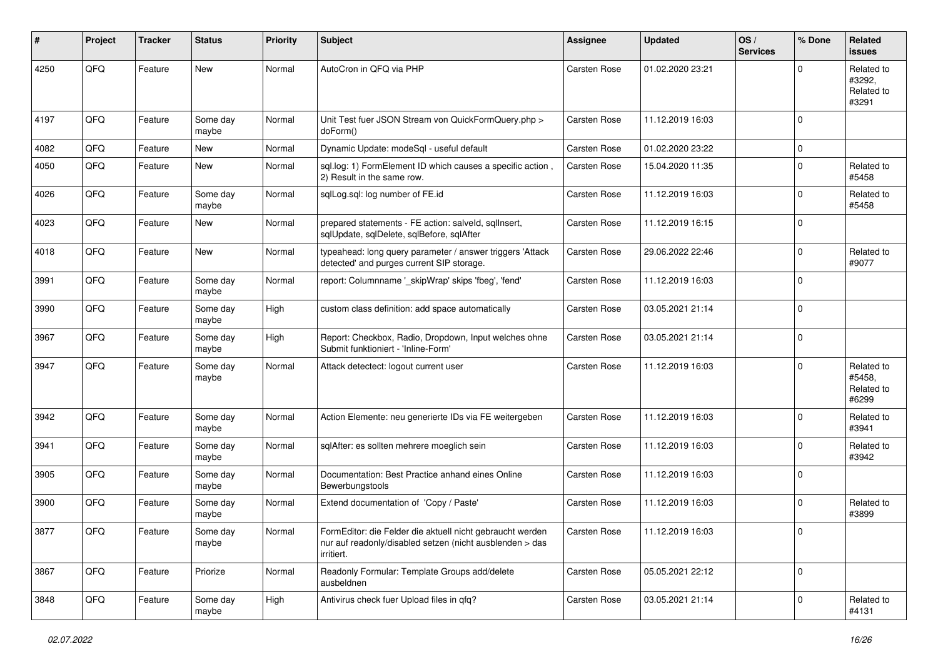| ∦    | Project | <b>Tracker</b> | <b>Status</b>     | <b>Priority</b> | Subject                                                                                                                             | <b>Assignee</b>     | <b>Updated</b>   | OS/<br><b>Services</b> | % Done   | Related<br>issues                           |
|------|---------|----------------|-------------------|-----------------|-------------------------------------------------------------------------------------------------------------------------------------|---------------------|------------------|------------------------|----------|---------------------------------------------|
| 4250 | QFQ     | Feature        | New               | Normal          | AutoCron in QFQ via PHP                                                                                                             | <b>Carsten Rose</b> | 01.02.2020 23:21 |                        | $\Omega$ | Related to<br>#3292.<br>Related to<br>#3291 |
| 4197 | QFQ     | Feature        | Some day<br>maybe | Normal          | Unit Test fuer JSON Stream von QuickFormQuery.php ><br>doForm()                                                                     | Carsten Rose        | 11.12.2019 16:03 |                        | $\Omega$ |                                             |
| 4082 | QFQ     | Feature        | <b>New</b>        | Normal          | Dynamic Update: modeSql - useful default                                                                                            | Carsten Rose        | 01.02.2020 23:22 |                        | 0        |                                             |
| 4050 | QFQ     | Feature        | <b>New</b>        | Normal          | sql.log: 1) FormElement ID which causes a specific action,<br>2) Result in the same row.                                            | Carsten Rose        | 15.04.2020 11:35 |                        | $\Omega$ | Related to<br>#5458                         |
| 4026 | QFQ     | Feature        | Some day<br>maybe | Normal          | sqlLog.sql: log number of FE.id                                                                                                     | Carsten Rose        | 11.12.2019 16:03 |                        | $\Omega$ | Related to<br>#5458                         |
| 4023 | QFQ     | Feature        | <b>New</b>        | Normal          | prepared statements - FE action: salveld, sqllnsert,<br>sqlUpdate, sqlDelete, sqlBefore, sqlAfter                                   | Carsten Rose        | 11.12.2019 16:15 |                        | $\Omega$ |                                             |
| 4018 | QFQ     | Feature        | <b>New</b>        | Normal          | typeahead: long query parameter / answer triggers 'Attack<br>detected' and purges current SIP storage.                              | Carsten Rose        | 29.06.2022 22:46 |                        | $\Omega$ | Related to<br>#9077                         |
| 3991 | QFQ     | Feature        | Some day<br>maybe | Normal          | report: Columnname '_skipWrap' skips 'fbeg', 'fend'                                                                                 | Carsten Rose        | 11.12.2019 16:03 |                        | $\Omega$ |                                             |
| 3990 | QFQ     | Feature        | Some day<br>maybe | High            | custom class definition: add space automatically                                                                                    | Carsten Rose        | 03.05.2021 21:14 |                        | $\Omega$ |                                             |
| 3967 | QFQ     | Feature        | Some day<br>maybe | High            | Report: Checkbox, Radio, Dropdown, Input welches ohne<br>Submit funktioniert - 'Inline-Form'                                        | Carsten Rose        | 03.05.2021 21:14 |                        | $\Omega$ |                                             |
| 3947 | QFQ     | Feature        | Some day<br>maybe | Normal          | Attack detectect: logout current user                                                                                               | Carsten Rose        | 11.12.2019 16:03 |                        | $\Omega$ | Related to<br>#5458,<br>Related to<br>#6299 |
| 3942 | QFQ     | Feature        | Some day<br>maybe | Normal          | Action Elemente: neu generierte IDs via FE weitergeben                                                                              | Carsten Rose        | 11.12.2019 16:03 |                        | $\Omega$ | Related to<br>#3941                         |
| 3941 | QFQ     | Feature        | Some day<br>maybe | Normal          | sqlAfter: es sollten mehrere moeglich sein                                                                                          | Carsten Rose        | 11.12.2019 16:03 |                        | $\Omega$ | Related to<br>#3942                         |
| 3905 | QFQ     | Feature        | Some day<br>maybe | Normal          | Documentation: Best Practice anhand eines Online<br>Bewerbungstools                                                                 | Carsten Rose        | 11.12.2019 16:03 |                        | $\Omega$ |                                             |
| 3900 | QFQ     | Feature        | Some day<br>maybe | Normal          | Extend documentation of 'Copy / Paste'                                                                                              | Carsten Rose        | 11.12.2019 16:03 |                        | $\Omega$ | Related to<br>#3899                         |
| 3877 | QFQ     | Feature        | Some day<br>maybe | Normal          | FormEditor: die Felder die aktuell nicht gebraucht werden<br>nur auf readonly/disabled setzen (nicht ausblenden > das<br>irritiert. | Carsten Rose        | 11.12.2019 16:03 |                        | 0        |                                             |
| 3867 | QFQ     | Feature        | Priorize          | Normal          | Readonly Formular: Template Groups add/delete<br>ausbeldnen                                                                         | Carsten Rose        | 05.05.2021 22:12 |                        | 0        |                                             |
| 3848 | QFQ     | Feature        | Some day<br>maybe | High            | Antivirus check fuer Upload files in qfq?                                                                                           | Carsten Rose        | 03.05.2021 21:14 |                        | 0        | Related to<br>#4131                         |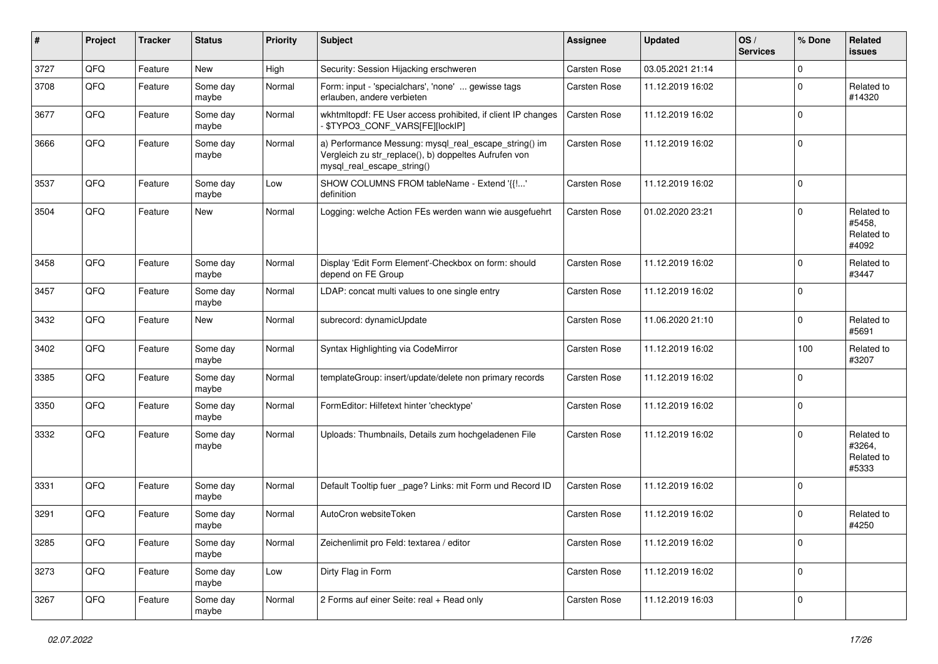| #    | Project | <b>Tracker</b> | <b>Status</b>     | <b>Priority</b> | Subject                                                                                                                                      | <b>Assignee</b>     | <b>Updated</b>   | OS/<br><b>Services</b> | % Done      | Related<br>issues                           |
|------|---------|----------------|-------------------|-----------------|----------------------------------------------------------------------------------------------------------------------------------------------|---------------------|------------------|------------------------|-------------|---------------------------------------------|
| 3727 | QFQ     | Feature        | New               | High            | Security: Session Hijacking erschweren                                                                                                       | Carsten Rose        | 03.05.2021 21:14 |                        | $\mathbf 0$ |                                             |
| 3708 | QFQ     | Feature        | Some day<br>maybe | Normal          | Form: input - 'specialchars', 'none'  gewisse tags<br>erlauben, andere verbieten                                                             | <b>Carsten Rose</b> | 11.12.2019 16:02 |                        | $\mathbf 0$ | Related to<br>#14320                        |
| 3677 | QFQ     | Feature        | Some day<br>maybe | Normal          | wkhtmltopdf: FE User access prohibited, if client IP changes<br>- \$TYPO3_CONF_VARS[FE][lockIP]                                              | Carsten Rose        | 11.12.2019 16:02 |                        | $\Omega$    |                                             |
| 3666 | QFQ     | Feature        | Some day<br>maybe | Normal          | a) Performance Messung: mysql_real_escape_string() im<br>Vergleich zu str_replace(), b) doppeltes Aufrufen von<br>mysql_real_escape_string() | Carsten Rose        | 11.12.2019 16:02 |                        | $\Omega$    |                                             |
| 3537 | QFQ     | Feature        | Some day<br>maybe | Low             | SHOW COLUMNS FROM tableName - Extend '{{!'<br>definition                                                                                     | Carsten Rose        | 11.12.2019 16:02 |                        | $\Omega$    |                                             |
| 3504 | QFQ     | Feature        | New               | Normal          | Logging: welche Action FEs werden wann wie ausgefuehrt                                                                                       | Carsten Rose        | 01.02.2020 23:21 |                        | $\Omega$    | Related to<br>#5458,<br>Related to<br>#4092 |
| 3458 | QFQ     | Feature        | Some day<br>maybe | Normal          | Display 'Edit Form Element'-Checkbox on form: should<br>depend on FE Group                                                                   | <b>Carsten Rose</b> | 11.12.2019 16:02 |                        | $\Omega$    | Related to<br>#3447                         |
| 3457 | QFQ     | Feature        | Some day<br>maybe | Normal          | LDAP: concat multi values to one single entry                                                                                                | Carsten Rose        | 11.12.2019 16:02 |                        | $\mathbf 0$ |                                             |
| 3432 | QFQ     | Feature        | New               | Normal          | subrecord: dynamicUpdate                                                                                                                     | Carsten Rose        | 11.06.2020 21:10 |                        | $\Omega$    | Related to<br>#5691                         |
| 3402 | QFQ     | Feature        | Some day<br>maybe | Normal          | Syntax Highlighting via CodeMirror                                                                                                           | Carsten Rose        | 11.12.2019 16:02 |                        | 100         | Related to<br>#3207                         |
| 3385 | QFQ     | Feature        | Some day<br>maybe | Normal          | templateGroup: insert/update/delete non primary records                                                                                      | Carsten Rose        | 11.12.2019 16:02 |                        | $\mathbf 0$ |                                             |
| 3350 | QFQ     | Feature        | Some day<br>maybe | Normal          | FormEditor: Hilfetext hinter 'checktype'                                                                                                     | Carsten Rose        | 11.12.2019 16:02 |                        | $\Omega$    |                                             |
| 3332 | QFQ     | Feature        | Some day<br>maybe | Normal          | Uploads: Thumbnails, Details zum hochgeladenen File                                                                                          | <b>Carsten Rose</b> | 11.12.2019 16:02 |                        | $\Omega$    | Related to<br>#3264,<br>Related to<br>#5333 |
| 3331 | QFQ     | Feature        | Some day<br>maybe | Normal          | Default Tooltip fuer _page? Links: mit Form und Record ID                                                                                    | Carsten Rose        | 11.12.2019 16:02 |                        | $\Omega$    |                                             |
| 3291 | QFQ     | Feature        | Some day<br>maybe | Normal          | AutoCron websiteToken                                                                                                                        | Carsten Rose        | 11.12.2019 16:02 |                        | $\Omega$    | Related to<br>#4250                         |
| 3285 | QFG     | Feature        | Some day<br>maybe | Normal          | Zeichenlimit pro Feld: textarea / editor                                                                                                     | Carsten Rose        | 11.12.2019 16:02 |                        | 0           |                                             |
| 3273 | QFQ     | Feature        | Some day<br>maybe | Low             | Dirty Flag in Form                                                                                                                           | Carsten Rose        | 11.12.2019 16:02 |                        | $\pmb{0}$   |                                             |
| 3267 | QFG     | Feature        | Some day<br>maybe | Normal          | 2 Forms auf einer Seite: real + Read only                                                                                                    | Carsten Rose        | 11.12.2019 16:03 |                        | 0           |                                             |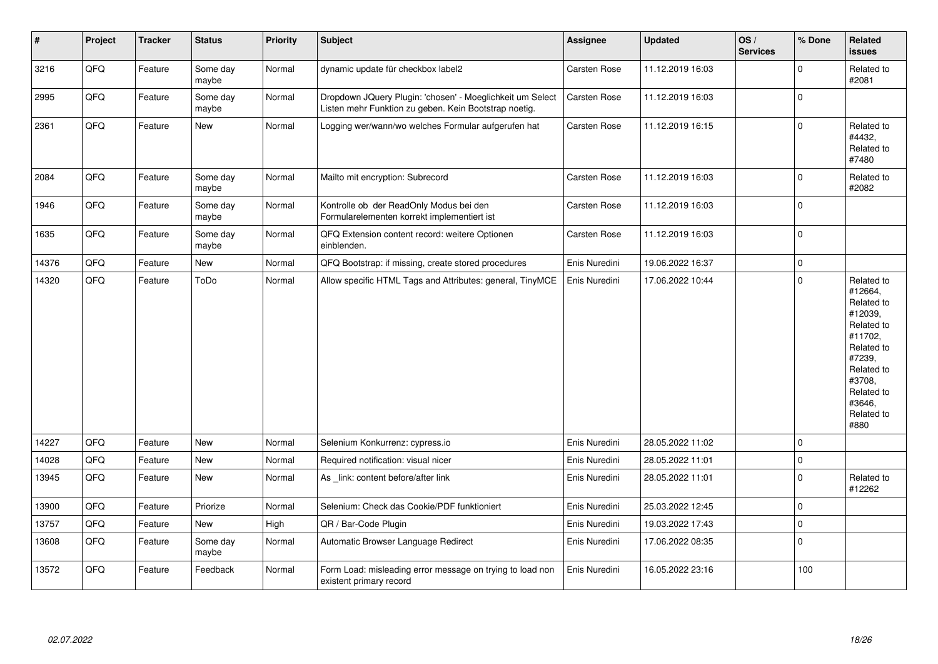| $\sharp$ | Project | <b>Tracker</b> | <b>Status</b>     | <b>Priority</b> | <b>Subject</b>                                                                                                     | <b>Assignee</b> | <b>Updated</b>   | OS/<br><b>Services</b> | % Done      | Related<br><b>issues</b>                                                                                                                                              |
|----------|---------|----------------|-------------------|-----------------|--------------------------------------------------------------------------------------------------------------------|-----------------|------------------|------------------------|-------------|-----------------------------------------------------------------------------------------------------------------------------------------------------------------------|
| 3216     | QFQ     | Feature        | Some day<br>maybe | Normal          | dynamic update für checkbox label2                                                                                 | Carsten Rose    | 11.12.2019 16:03 |                        | $\mathbf 0$ | Related to<br>#2081                                                                                                                                                   |
| 2995     | QFQ     | Feature        | Some day<br>maybe | Normal          | Dropdown JQuery Plugin: 'chosen' - Moeglichkeit um Select<br>Listen mehr Funktion zu geben. Kein Bootstrap noetig. | Carsten Rose    | 11.12.2019 16:03 |                        | $\pmb{0}$   |                                                                                                                                                                       |
| 2361     | QFQ     | Feature        | New               | Normal          | Logging wer/wann/wo welches Formular aufgerufen hat                                                                | Carsten Rose    | 11.12.2019 16:15 |                        | $\mathbf 0$ | Related to<br>#4432,<br>Related to<br>#7480                                                                                                                           |
| 2084     | QFQ     | Feature        | Some day<br>maybe | Normal          | Mailto mit encryption: Subrecord                                                                                   | Carsten Rose    | 11.12.2019 16:03 |                        | $\pmb{0}$   | Related to<br>#2082                                                                                                                                                   |
| 1946     | QFQ     | Feature        | Some day<br>maybe | Normal          | Kontrolle ob der ReadOnly Modus bei den<br>Formularelementen korrekt implementiert ist                             | Carsten Rose    | 11.12.2019 16:03 |                        | $\mathbf 0$ |                                                                                                                                                                       |
| 1635     | QFQ     | Feature        | Some day<br>maybe | Normal          | QFQ Extension content record: weitere Optionen<br>einblenden.                                                      | Carsten Rose    | 11.12.2019 16:03 |                        | $\mathbf 0$ |                                                                                                                                                                       |
| 14376    | QFQ     | Feature        | New               | Normal          | QFQ Bootstrap: if missing, create stored procedures                                                                | Enis Nuredini   | 19.06.2022 16:37 |                        | $\pmb{0}$   |                                                                                                                                                                       |
| 14320    | QFQ     | Feature        | ToDo              | Normal          | Allow specific HTML Tags and Attributes: general, TinyMCE                                                          | Enis Nuredini   | 17.06.2022 10:44 |                        | $\mathbf 0$ | Related to<br>#12664,<br>Related to<br>#12039,<br>Related to<br>#11702.<br>Related to<br>#7239,<br>Related to<br>#3708,<br>Related to<br>#3646.<br>Related to<br>#880 |
| 14227    | QFQ     | Feature        | New               | Normal          | Selenium Konkurrenz: cypress.io                                                                                    | Enis Nuredini   | 28.05.2022 11:02 |                        | $\mathbf 0$ |                                                                                                                                                                       |
| 14028    | QFQ     | Feature        | New               | Normal          | Required notification: visual nicer                                                                                | Enis Nuredini   | 28.05.2022 11:01 |                        | $\mathbf 0$ |                                                                                                                                                                       |
| 13945    | QFQ     | Feature        | New               | Normal          | As link: content before/after link                                                                                 | Enis Nuredini   | 28.05.2022 11:01 |                        | $\mathbf 0$ | Related to<br>#12262                                                                                                                                                  |
| 13900    | QFQ     | Feature        | Priorize          | Normal          | Selenium: Check das Cookie/PDF funktioniert                                                                        | Enis Nuredini   | 25.03.2022 12:45 |                        | $\pmb{0}$   |                                                                                                                                                                       |
| 13757    | QFQ     | Feature        | New               | High            | QR / Bar-Code Plugin                                                                                               | Enis Nuredini   | 19.03.2022 17:43 |                        | $\pmb{0}$   |                                                                                                                                                                       |
| 13608    | QFQ     | Feature        | Some day<br>maybe | Normal          | Automatic Browser Language Redirect                                                                                | Enis Nuredini   | 17.06.2022 08:35 |                        | $\pmb{0}$   |                                                                                                                                                                       |
| 13572    | QFQ     | Feature        | Feedback          | Normal          | Form Load: misleading error message on trying to load non<br>existent primary record                               | Enis Nuredini   | 16.05.2022 23:16 |                        | 100         |                                                                                                                                                                       |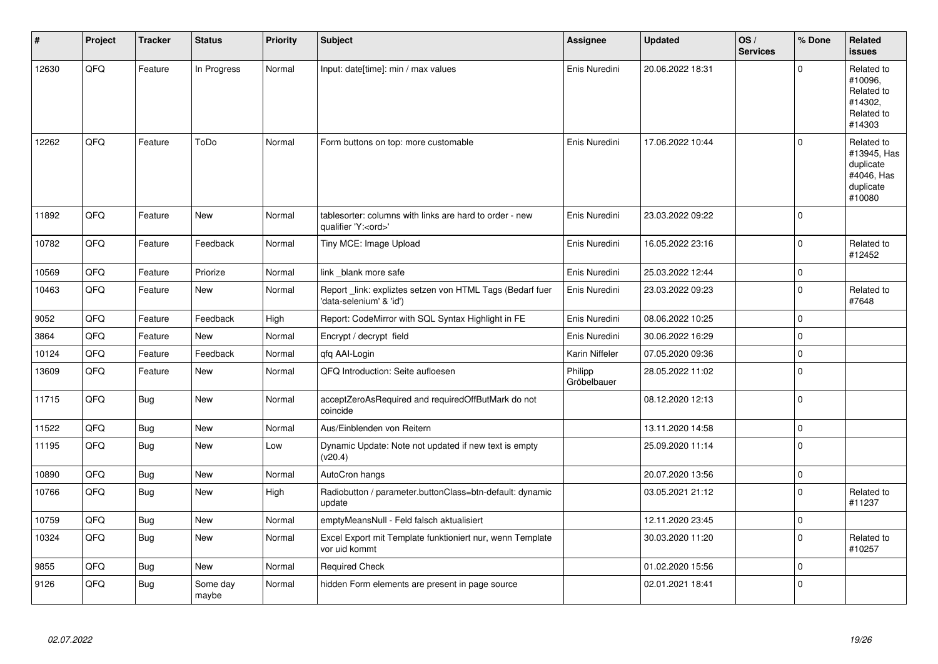| #     | Project | <b>Tracker</b> | <b>Status</b>     | Priority | <b>Subject</b>                                                                        | Assignee               | <b>Updated</b>   | OS/<br><b>Services</b> | % Done      | Related<br>issues                                                           |
|-------|---------|----------------|-------------------|----------|---------------------------------------------------------------------------------------|------------------------|------------------|------------------------|-------------|-----------------------------------------------------------------------------|
| 12630 | QFQ     | Feature        | In Progress       | Normal   | Input: date[time]: min / max values                                                   | Enis Nuredini          | 20.06.2022 18:31 |                        | $\Omega$    | Related to<br>#10096,<br>Related to<br>#14302,<br>Related to<br>#14303      |
| 12262 | QFQ     | Feature        | ToDo              | Normal   | Form buttons on top: more customable                                                  | Enis Nuredini          | 17.06.2022 10:44 |                        | $\Omega$    | Related to<br>#13945, Has<br>duplicate<br>#4046, Has<br>duplicate<br>#10080 |
| 11892 | QFQ     | Feature        | New               | Normal   | tablesorter: columns with links are hard to order - new<br>qualifier 'Y: <ord>'</ord> | Enis Nuredini          | 23.03.2022 09:22 |                        | $\Omega$    |                                                                             |
| 10782 | QFQ     | Feature        | Feedback          | Normal   | Tiny MCE: Image Upload                                                                | Enis Nuredini          | 16.05.2022 23:16 |                        | $\Omega$    | Related to<br>#12452                                                        |
| 10569 | QFQ     | Feature        | Priorize          | Normal   | link blank more safe                                                                  | Enis Nuredini          | 25.03.2022 12:44 |                        | 0           |                                                                             |
| 10463 | QFQ     | Feature        | New               | Normal   | Report _link: expliztes setzen von HTML Tags (Bedarf fuer<br>'data-selenium' & 'id')  | Enis Nuredini          | 23.03.2022 09:23 |                        | $\Omega$    | Related to<br>#7648                                                         |
| 9052  | QFQ     | Feature        | Feedback          | High     | Report: CodeMirror with SQL Syntax Highlight in FE                                    | Enis Nuredini          | 08.06.2022 10:25 |                        | $\mathbf 0$ |                                                                             |
| 3864  | QFQ     | Feature        | <b>New</b>        | Normal   | Encrypt / decrypt field                                                               | Enis Nuredini          | 30.06.2022 16:29 |                        | $\Omega$    |                                                                             |
| 10124 | QFQ     | Feature        | Feedback          | Normal   | qfq AAI-Login                                                                         | Karin Niffeler         | 07.05.2020 09:36 |                        | 0           |                                                                             |
| 13609 | QFQ     | Feature        | <b>New</b>        | Normal   | QFQ Introduction: Seite aufloesen                                                     | Philipp<br>Gröbelbauer | 28.05.2022 11:02 |                        | 0           |                                                                             |
| 11715 | QFQ     | <b>Bug</b>     | <b>New</b>        | Normal   | acceptZeroAsRequired and requiredOffButMark do not<br>coincide                        |                        | 08.12.2020 12:13 |                        | 0           |                                                                             |
| 11522 | QFQ     | Bug            | New               | Normal   | Aus/Einblenden von Reitern                                                            |                        | 13.11.2020 14:58 |                        | $\Omega$    |                                                                             |
| 11195 | QFQ     | <b>Bug</b>     | <b>New</b>        | Low      | Dynamic Update: Note not updated if new text is empty<br>(v20.4)                      |                        | 25.09.2020 11:14 |                        | 0           |                                                                             |
| 10890 | QFQ     | Bug            | <b>New</b>        | Normal   | AutoCron hangs                                                                        |                        | 20.07.2020 13:56 |                        | 0           |                                                                             |
| 10766 | QFQ     | <b>Bug</b>     | New               | High     | Radiobutton / parameter.buttonClass=btn-default: dynamic<br>update                    |                        | 03.05.2021 21:12 |                        | $\mathbf 0$ | Related to<br>#11237                                                        |
| 10759 | QFQ     | Bug            | <b>New</b>        | Normal   | emptyMeansNull - Feld falsch aktualisiert                                             |                        | 12.11.2020 23:45 |                        | $\Omega$    |                                                                             |
| 10324 | QFQ     | <b>Bug</b>     | New               | Normal   | Excel Export mit Template funktioniert nur, wenn Template<br>vor uid kommt            |                        | 30.03.2020 11:20 |                        | $\Omega$    | Related to<br>#10257                                                        |
| 9855  | QFQ     | Bug            | New               | Normal   | <b>Required Check</b>                                                                 |                        | 01.02.2020 15:56 |                        | $\Omega$    |                                                                             |
| 9126  | QFQ     | Bug            | Some day<br>maybe | Normal   | hidden Form elements are present in page source                                       |                        | 02.01.2021 18:41 |                        | $\Omega$    |                                                                             |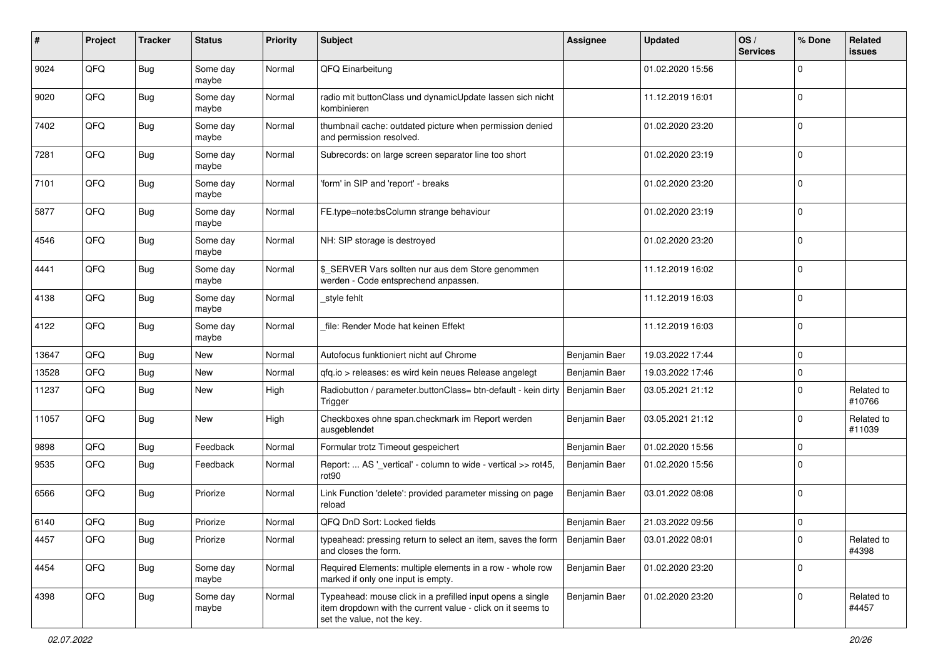| $\pmb{\#}$ | Project | <b>Tracker</b> | <b>Status</b>     | <b>Priority</b> | <b>Subject</b>                                                                                                                                           | <b>Assignee</b> | <b>Updated</b>   | OS/<br><b>Services</b> | % Done      | Related<br><b>issues</b> |
|------------|---------|----------------|-------------------|-----------------|----------------------------------------------------------------------------------------------------------------------------------------------------------|-----------------|------------------|------------------------|-------------|--------------------------|
| 9024       | QFQ     | <b>Bug</b>     | Some day<br>maybe | Normal          | QFQ Einarbeitung                                                                                                                                         |                 | 01.02.2020 15:56 |                        | $\Omega$    |                          |
| 9020       | QFQ     | Bug            | Some day<br>maybe | Normal          | radio mit buttonClass und dynamicUpdate lassen sich nicht<br>kombinieren                                                                                 |                 | 11.12.2019 16:01 |                        | $\mathbf 0$ |                          |
| 7402       | QFQ     | <b>Bug</b>     | Some day<br>maybe | Normal          | thumbnail cache: outdated picture when permission denied<br>and permission resolved.                                                                     |                 | 01.02.2020 23:20 |                        | 0           |                          |
| 7281       | QFQ     | <b>Bug</b>     | Some day<br>maybe | Normal          | Subrecords: on large screen separator line too short                                                                                                     |                 | 01.02.2020 23:19 |                        | $\mathbf 0$ |                          |
| 7101       | QFQ     | <b>Bug</b>     | Some day<br>maybe | Normal          | 'form' in SIP and 'report' - breaks                                                                                                                      |                 | 01.02.2020 23:20 |                        | $\mathbf 0$ |                          |
| 5877       | QFQ     | <b>Bug</b>     | Some day<br>maybe | Normal          | FE.type=note:bsColumn strange behaviour                                                                                                                  |                 | 01.02.2020 23:19 |                        | $\mathbf 0$ |                          |
| 4546       | QFQ     | Bug            | Some day<br>maybe | Normal          | NH: SIP storage is destroyed                                                                                                                             |                 | 01.02.2020 23:20 |                        | $\mathbf 0$ |                          |
| 4441       | QFQ     | Bug            | Some day<br>maybe | Normal          | \$_SERVER Vars sollten nur aus dem Store genommen<br>werden - Code entsprechend anpassen.                                                                |                 | 11.12.2019 16:02 |                        | $\mathbf 0$ |                          |
| 4138       | QFQ     | Bug            | Some day<br>maybe | Normal          | _style fehlt                                                                                                                                             |                 | 11.12.2019 16:03 |                        | $\mathbf 0$ |                          |
| 4122       | QFQ     | <b>Bug</b>     | Some day<br>maybe | Normal          | file: Render Mode hat keinen Effekt                                                                                                                      |                 | 11.12.2019 16:03 |                        | $\mathbf 0$ |                          |
| 13647      | QFQ     | Bug            | <b>New</b>        | Normal          | Autofocus funktioniert nicht auf Chrome                                                                                                                  | Benjamin Baer   | 19.03.2022 17:44 |                        | $\mathbf 0$ |                          |
| 13528      | QFQ     | <b>Bug</b>     | <b>New</b>        | Normal          | qfq.io > releases: es wird kein neues Release angelegt                                                                                                   | Benjamin Baer   | 19.03.2022 17:46 |                        | $\Omega$    |                          |
| 11237      | QFQ     | Bug            | <b>New</b>        | High            | Radiobutton / parameter.buttonClass= btn-default - kein dirty<br>Trigger                                                                                 | Benjamin Baer   | 03.05.2021 21:12 |                        | $\mathbf 0$ | Related to<br>#10766     |
| 11057      | QFQ     | Bug            | New               | High            | Checkboxes ohne span.checkmark im Report werden<br>ausgeblendet                                                                                          | Benjamin Baer   | 03.05.2021 21:12 |                        | $\mathbf 0$ | Related to<br>#11039     |
| 9898       | QFQ     | <b>Bug</b>     | Feedback          | Normal          | Formular trotz Timeout gespeichert                                                                                                                       | Benjamin Baer   | 01.02.2020 15:56 |                        | $\Omega$    |                          |
| 9535       | QFQ     | Bug            | Feedback          | Normal          | Report:  AS '_vertical' - column to wide - vertical >> rot45,<br>rot90                                                                                   | Benjamin Baer   | 01.02.2020 15:56 |                        | $\mathbf 0$ |                          |
| 6566       | QFQ     | Bug            | Priorize          | Normal          | Link Function 'delete': provided parameter missing on page<br>reload                                                                                     | Benjamin Baer   | 03.01.2022 08:08 |                        | $\Omega$    |                          |
| 6140       | QFQ     | Bug            | Priorize          | Normal          | QFQ DnD Sort: Locked fields                                                                                                                              | Benjamin Baer   | 21.03.2022 09:56 |                        | $\mathbf 0$ |                          |
| 4457       | QFG     | Bug            | Priorize          | Normal          | typeahead: pressing return to select an item, saves the form<br>and closes the form.                                                                     | Benjamin Baer   | 03.01.2022 08:01 |                        | $\vert$ 0   | Related to<br>#4398      |
| 4454       | QFG     | <b>Bug</b>     | Some day<br>maybe | Normal          | Required Elements: multiple elements in a row - whole row<br>marked if only one input is empty.                                                          | Benjamin Baer   | 01.02.2020 23:20 |                        | $\mathbf 0$ |                          |
| 4398       | QFG     | Bug            | Some day<br>maybe | Normal          | Typeahead: mouse click in a prefilled input opens a single<br>item dropdown with the current value - click on it seems to<br>set the value, not the key. | Benjamin Baer   | 01.02.2020 23:20 |                        | $\mathbf 0$ | Related to<br>#4457      |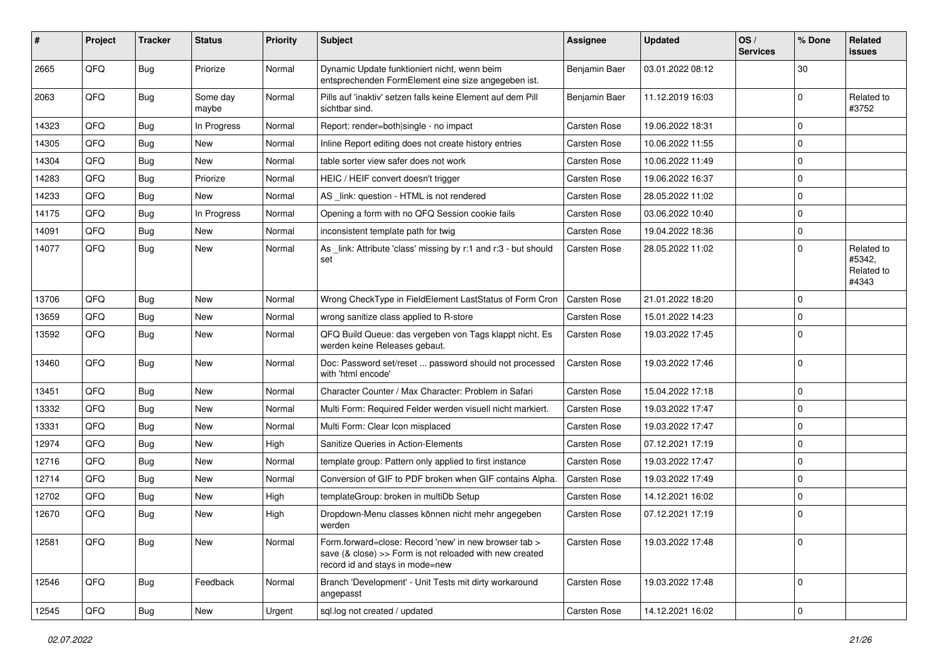| #     | Project | <b>Tracker</b> | <b>Status</b>     | <b>Priority</b> | <b>Subject</b>                                                                                                                                      | <b>Assignee</b> | <b>Updated</b>   | OS/<br><b>Services</b> | % Done      | Related<br>issues                           |
|-------|---------|----------------|-------------------|-----------------|-----------------------------------------------------------------------------------------------------------------------------------------------------|-----------------|------------------|------------------------|-------------|---------------------------------------------|
| 2665  | QFQ     | <b>Bug</b>     | Priorize          | Normal          | Dynamic Update funktioniert nicht, wenn beim<br>entsprechenden FormElement eine size angegeben ist.                                                 | Benjamin Baer   | 03.01.2022 08:12 |                        | 30          |                                             |
| 2063  | QFQ     | Bug            | Some day<br>maybe | Normal          | Pills auf 'inaktiv' setzen falls keine Element auf dem Pill<br>sichtbar sind.                                                                       | Benjamin Baer   | 11.12.2019 16:03 |                        | $\Omega$    | Related to<br>#3752                         |
| 14323 | QFQ     | Bug            | In Progress       | Normal          | Report: render=both single - no impact                                                                                                              | Carsten Rose    | 19.06.2022 18:31 |                        | $\mathbf 0$ |                                             |
| 14305 | QFQ     | <b>Bug</b>     | New               | Normal          | Inline Report editing does not create history entries                                                                                               | Carsten Rose    | 10.06.2022 11:55 |                        | $\mathbf 0$ |                                             |
| 14304 | QFQ     | <b>Bug</b>     | <b>New</b>        | Normal          | table sorter view safer does not work                                                                                                               | Carsten Rose    | 10.06.2022 11:49 |                        | 0           |                                             |
| 14283 | QFQ     | <b>Bug</b>     | Priorize          | Normal          | HEIC / HEIF convert doesn't trigger                                                                                                                 | Carsten Rose    | 19.06.2022 16:37 |                        | $\mathbf 0$ |                                             |
| 14233 | QFQ     | <b>Bug</b>     | <b>New</b>        | Normal          | AS link: question - HTML is not rendered                                                                                                            | Carsten Rose    | 28.05.2022 11:02 |                        | $\mathbf 0$ |                                             |
| 14175 | QFQ     | Bug            | In Progress       | Normal          | Opening a form with no QFQ Session cookie fails                                                                                                     | Carsten Rose    | 03.06.2022 10:40 |                        | $\mathbf 0$ |                                             |
| 14091 | QFQ     | <b>Bug</b>     | New               | Normal          | inconsistent template path for twig                                                                                                                 | Carsten Rose    | 19.04.2022 18:36 |                        | $\mathbf 0$ |                                             |
| 14077 | QFQ     | <b>Bug</b>     | <b>New</b>        | Normal          | As _link: Attribute 'class' missing by r:1 and r:3 - but should<br>set                                                                              | Carsten Rose    | 28.05.2022 11:02 |                        | $\Omega$    | Related to<br>#5342.<br>Related to<br>#4343 |
| 13706 | QFQ     | Bug            | <b>New</b>        | Normal          | Wrong CheckType in FieldElement LastStatus of Form Cron                                                                                             | Carsten Rose    | 21.01.2022 18:20 |                        | 0           |                                             |
| 13659 | QFQ     | <b>Bug</b>     | <b>New</b>        | Normal          | wrong sanitize class applied to R-store                                                                                                             | Carsten Rose    | 15.01.2022 14:23 |                        | $\mathbf 0$ |                                             |
| 13592 | QFQ     | Bug            | New               | Normal          | QFQ Build Queue: das vergeben von Tags klappt nicht. Es<br>werden keine Releases gebaut.                                                            | Carsten Rose    | 19.03.2022 17:45 |                        | $\mathbf 0$ |                                             |
| 13460 | QFQ     | <b>Bug</b>     | <b>New</b>        | Normal          | Doc: Password set/reset  password should not processed<br>with 'html encode'                                                                        | Carsten Rose    | 19.03.2022 17:46 |                        | $\mathbf 0$ |                                             |
| 13451 | QFQ     | <b>Bug</b>     | <b>New</b>        | Normal          | Character Counter / Max Character: Problem in Safari                                                                                                | Carsten Rose    | 15.04.2022 17:18 |                        | $\mathbf 0$ |                                             |
| 13332 | QFQ     | Bug            | <b>New</b>        | Normal          | Multi Form: Required Felder werden visuell nicht markiert.                                                                                          | Carsten Rose    | 19.03.2022 17:47 |                        | $\mathbf 0$ |                                             |
| 13331 | QFQ     | Bug            | <b>New</b>        | Normal          | Multi Form: Clear Icon misplaced                                                                                                                    | Carsten Rose    | 19.03.2022 17:47 |                        | $\mathbf 0$ |                                             |
| 12974 | QFQ     | <b>Bug</b>     | <b>New</b>        | High            | Sanitize Queries in Action-Elements                                                                                                                 | Carsten Rose    | 07.12.2021 17:19 |                        | $\mathbf 0$ |                                             |
| 12716 | QFQ     | <b>Bug</b>     | New               | Normal          | template group: Pattern only applied to first instance                                                                                              | Carsten Rose    | 19.03.2022 17:47 |                        | $\Omega$    |                                             |
| 12714 | QFQ     | <b>Bug</b>     | <b>New</b>        | Normal          | Conversion of GIF to PDF broken when GIF contains Alpha.                                                                                            | Carsten Rose    | 19.03.2022 17:49 |                        | $\Omega$    |                                             |
| 12702 | QFQ     | Bug            | <b>New</b>        | High            | templateGroup: broken in multiDb Setup                                                                                                              | Carsten Rose    | 14.12.2021 16:02 |                        | $\mathbf 0$ |                                             |
| 12670 | QFQ     | Bug            | <b>New</b>        | High            | Dropdown-Menu classes können nicht mehr angegeben<br>werden                                                                                         | Carsten Rose    | 07.12.2021 17:19 |                        | $\mathbf 0$ |                                             |
| 12581 | QFQ     | <b>Bug</b>     | New               | Normal          | Form.forward=close: Record 'new' in new browser tab ><br>save (& close) >> Form is not reloaded with new created<br>record id and stays in mode=new | Carsten Rose    | 19.03.2022 17:48 |                        | $\mathbf 0$ |                                             |
| 12546 | QFQ     | <b>Bug</b>     | Feedback          | Normal          | Branch 'Development' - Unit Tests mit dirty workaround<br>angepasst                                                                                 | Carsten Rose    | 19.03.2022 17:48 |                        | $\mathbf 0$ |                                             |
| 12545 | QFQ     | <b>Bug</b>     | New               | Urgent          | sql.log not created / updated                                                                                                                       | Carsten Rose    | 14.12.2021 16:02 |                        | $\mathbf 0$ |                                             |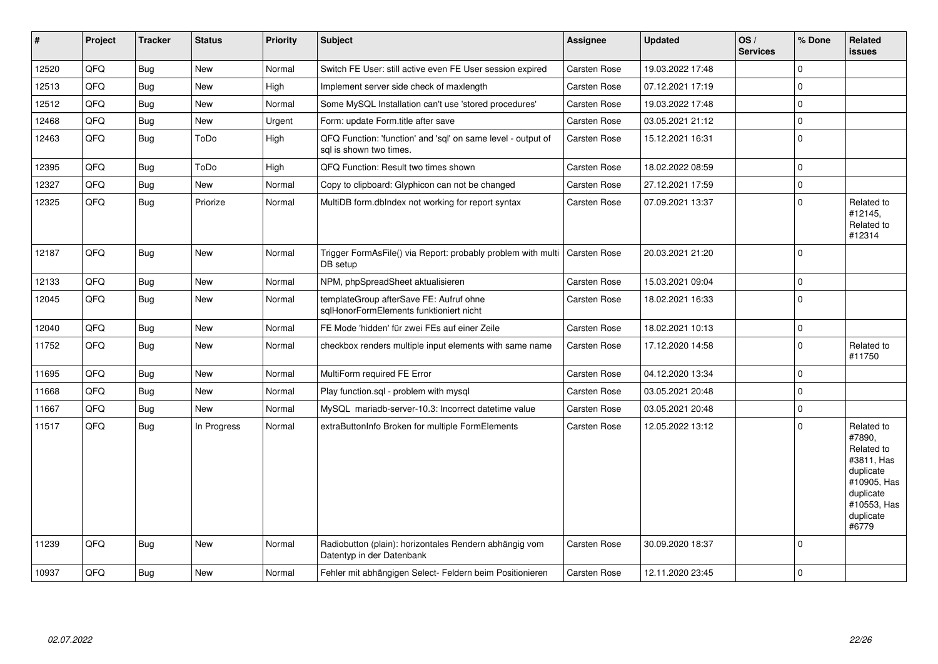| $\vert$ # | Project | <b>Tracker</b> | <b>Status</b> | <b>Priority</b> | <b>Subject</b>                                                                          | <b>Assignee</b>     | <b>Updated</b>   | OS/<br><b>Services</b> | % Done      | Related<br><b>issues</b>                                                                                                       |
|-----------|---------|----------------|---------------|-----------------|-----------------------------------------------------------------------------------------|---------------------|------------------|------------------------|-------------|--------------------------------------------------------------------------------------------------------------------------------|
| 12520     | QFQ     | Bug            | New           | Normal          | Switch FE User: still active even FE User session expired                               | Carsten Rose        | 19.03.2022 17:48 |                        | $\Omega$    |                                                                                                                                |
| 12513     | QFQ     | Bug            | <b>New</b>    | High            | Implement server side check of maxlength                                                | <b>Carsten Rose</b> | 07.12.2021 17:19 |                        | $\mathbf 0$ |                                                                                                                                |
| 12512     | QFQ     | Bug            | <b>New</b>    | Normal          | Some MySQL Installation can't use 'stored procedures'                                   | Carsten Rose        | 19.03.2022 17:48 |                        | $\mathbf 0$ |                                                                                                                                |
| 12468     | QFQ     | <b>Bug</b>     | <b>New</b>    | Urgent          | Form: update Form.title after save                                                      | Carsten Rose        | 03.05.2021 21:12 |                        | $\pmb{0}$   |                                                                                                                                |
| 12463     | QFQ     | <b>Bug</b>     | ToDo          | High            | QFQ Function: 'function' and 'sql' on same level - output of<br>sal is shown two times. | Carsten Rose        | 15.12.2021 16:31 |                        | $\mathbf 0$ |                                                                                                                                |
| 12395     | QFQ     | <b>Bug</b>     | ToDo          | High            | QFQ Function: Result two times shown                                                    | Carsten Rose        | 18.02.2022 08:59 |                        | $\mathbf 0$ |                                                                                                                                |
| 12327     | QFQ     | Bug            | New           | Normal          | Copy to clipboard: Glyphicon can not be changed                                         | Carsten Rose        | 27.12.2021 17:59 |                        | $\pmb{0}$   |                                                                                                                                |
| 12325     | QFQ     | Bug            | Priorize      | Normal          | MultiDB form.dbIndex not working for report syntax                                      | Carsten Rose        | 07.09.2021 13:37 |                        | $\mathbf 0$ | Related to<br>#12145,<br>Related to<br>#12314                                                                                  |
| 12187     | QFQ     | Bug            | <b>New</b>    | Normal          | Trigger FormAsFile() via Report: probably problem with multi<br>DB setup                | <b>Carsten Rose</b> | 20.03.2021 21:20 |                        | $\mathbf 0$ |                                                                                                                                |
| 12133     | QFQ     | <b>Bug</b>     | <b>New</b>    | Normal          | NPM, phpSpreadSheet aktualisieren                                                       | Carsten Rose        | 15.03.2021 09:04 |                        | $\mathbf 0$ |                                                                                                                                |
| 12045     | QFQ     | <b>Bug</b>     | <b>New</b>    | Normal          | templateGroup afterSave FE: Aufruf ohne<br>sqlHonorFormElements funktioniert nicht      | Carsten Rose        | 18.02.2021 16:33 |                        | $\mathbf 0$ |                                                                                                                                |
| 12040     | QFQ     | <b>Bug</b>     | <b>New</b>    | Normal          | FE Mode 'hidden' für zwei FEs auf einer Zeile                                           | Carsten Rose        | 18.02.2021 10:13 |                        | $\pmb{0}$   |                                                                                                                                |
| 11752     | QFQ     | <b>Bug</b>     | New           | Normal          | checkbox renders multiple input elements with same name                                 | Carsten Rose        | 17.12.2020 14:58 |                        | $\mathbf 0$ | Related to<br>#11750                                                                                                           |
| 11695     | QFQ     | <b>Bug</b>     | <b>New</b>    | Normal          | MultiForm required FE Error                                                             | Carsten Rose        | 04.12.2020 13:34 |                        | $\mathbf 0$ |                                                                                                                                |
| 11668     | QFQ     | <b>Bug</b>     | <b>New</b>    | Normal          | Play function.sql - problem with mysql                                                  | Carsten Rose        | 03.05.2021 20:48 |                        | $\pmb{0}$   |                                                                                                                                |
| 11667     | QFQ     | <b>Bug</b>     | New           | Normal          | MySQL mariadb-server-10.3: Incorrect datetime value                                     | Carsten Rose        | 03.05.2021 20:48 |                        | $\pmb{0}$   |                                                                                                                                |
| 11517     | QFQ     | <b>Bug</b>     | In Progress   | Normal          | extraButtonInfo Broken for multiple FormElements                                        | Carsten Rose        | 12.05.2022 13:12 |                        | $\Omega$    | Related to<br>#7890.<br>Related to<br>#3811, Has<br>duplicate<br>#10905, Has<br>duplicate<br>#10553, Has<br>duplicate<br>#6779 |
| 11239     | QFQ     | <b>Bug</b>     | New           | Normal          | Radiobutton (plain): horizontales Rendern abhängig vom<br>Datentyp in der Datenbank     | Carsten Rose        | 30.09.2020 18:37 |                        | $\mathbf 0$ |                                                                                                                                |
| 10937     | QFQ     | <b>Bug</b>     | <b>New</b>    | Normal          | Fehler mit abhängigen Select- Feldern beim Positionieren                                | Carsten Rose        | 12.11.2020 23:45 |                        | $\mathbf 0$ |                                                                                                                                |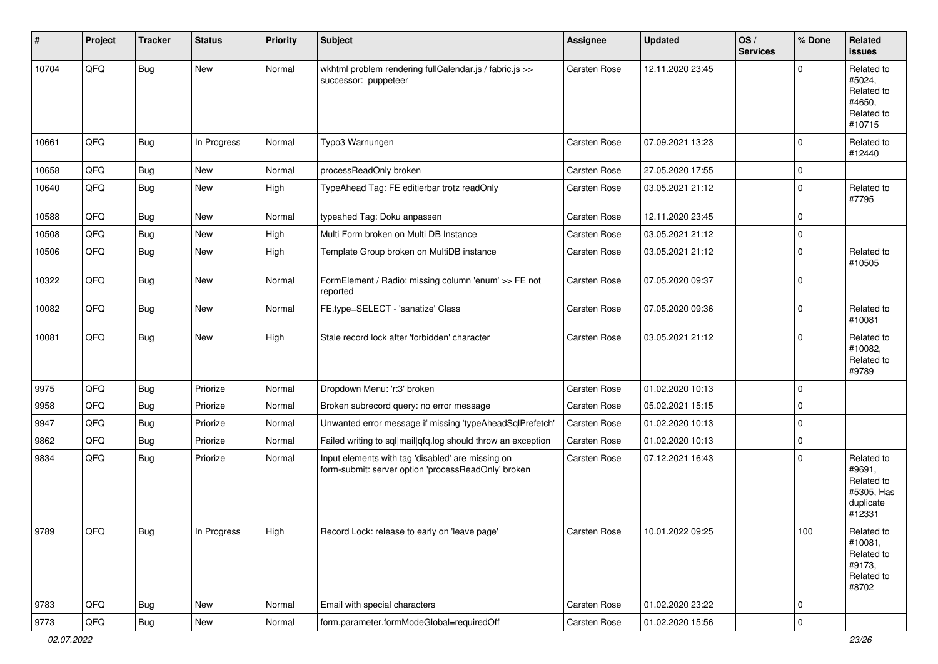| #     | Project        | <b>Tracker</b> | <b>Status</b> | <b>Priority</b> | Subject                                                                                                  | <b>Assignee</b>     | <b>Updated</b>   | OS/<br><b>Services</b> | % Done      | Related<br>issues                                                       |
|-------|----------------|----------------|---------------|-----------------|----------------------------------------------------------------------------------------------------------|---------------------|------------------|------------------------|-------------|-------------------------------------------------------------------------|
| 10704 | QFQ            | Bug            | New           | Normal          | wkhtml problem rendering fullCalendar.js / fabric.js >><br>successor: puppeteer                          | <b>Carsten Rose</b> | 12.11.2020 23:45 |                        | $\Omega$    | Related to<br>#5024,<br>Related to<br>#4650,<br>Related to<br>#10715    |
| 10661 | QFQ            | Bug            | In Progress   | Normal          | Typo3 Warnungen                                                                                          | <b>Carsten Rose</b> | 07.09.2021 13:23 |                        | $\Omega$    | Related to<br>#12440                                                    |
| 10658 | QFQ            | Bug            | <b>New</b>    | Normal          | processReadOnly broken                                                                                   | Carsten Rose        | 27.05.2020 17:55 |                        | 0           |                                                                         |
| 10640 | QFQ            | Bug            | New           | High            | TypeAhead Tag: FE editierbar trotz readOnly                                                              | Carsten Rose        | 03.05.2021 21:12 |                        | $\Omega$    | Related to<br>#7795                                                     |
| 10588 | QFQ            | <b>Bug</b>     | <b>New</b>    | Normal          | typeahed Tag: Doku anpassen                                                                              | <b>Carsten Rose</b> | 12.11.2020 23:45 |                        | $\Omega$    |                                                                         |
| 10508 | QFQ            | Bug            | New           | High            | Multi Form broken on Multi DB Instance                                                                   | Carsten Rose        | 03.05.2021 21:12 |                        | 0           |                                                                         |
| 10506 | QFQ            | Bug            | New           | High            | Template Group broken on MultiDB instance                                                                | Carsten Rose        | 03.05.2021 21:12 |                        | $\Omega$    | Related to<br>#10505                                                    |
| 10322 | QFQ            | <b>Bug</b>     | New           | Normal          | FormElement / Radio: missing column 'enum' >> FE not<br>reported                                         | Carsten Rose        | 07.05.2020 09:37 |                        | $\Omega$    |                                                                         |
| 10082 | QFQ            | Bug            | New           | Normal          | FE.type=SELECT - 'sanatize' Class                                                                        | Carsten Rose        | 07.05.2020 09:36 |                        | $\Omega$    | Related to<br>#10081                                                    |
| 10081 | QFQ            | Bug            | <b>New</b>    | High            | Stale record lock after 'forbidden' character                                                            | <b>Carsten Rose</b> | 03.05.2021 21:12 |                        | $\Omega$    | Related to<br>#10082,<br>Related to<br>#9789                            |
| 9975  | QFQ            | <b>Bug</b>     | Priorize      | Normal          | Dropdown Menu: 'r:3' broken                                                                              | Carsten Rose        | 01.02.2020 10:13 |                        | $\Omega$    |                                                                         |
| 9958  | QFQ            | <b>Bug</b>     | Priorize      | Normal          | Broken subrecord query: no error message                                                                 | Carsten Rose        | 05.02.2021 15:15 |                        | $\Omega$    |                                                                         |
| 9947  | QFQ            | <b>Bug</b>     | Priorize      | Normal          | Unwanted error message if missing 'typeAheadSqlPrefetch'                                                 | Carsten Rose        | 01.02.2020 10:13 |                        | $\Omega$    |                                                                         |
| 9862  | QFQ            | <b>Bug</b>     | Priorize      | Normal          | Failed writing to sql mail qfq.log should throw an exception                                             | Carsten Rose        | 01.02.2020 10:13 |                        | $\mathbf 0$ |                                                                         |
| 9834  | QFQ            | <b>Bug</b>     | Priorize      | Normal          | Input elements with tag 'disabled' are missing on<br>form-submit: server option 'processReadOnly' broken | Carsten Rose        | 07.12.2021 16:43 |                        | $\Omega$    | Related to<br>#9691,<br>Related to<br>#5305, Has<br>duplicate<br>#12331 |
| 9789  | $\mathsf{QFQ}$ | Bug            | In Progress   | High            | Record Lock: release to early on 'leave page'                                                            | Carsten Rose        | 10.01.2022 09:25 |                        | 100         | Related to<br>#10081,<br>Related to<br>#9173,<br>Related to<br>#8702    |
| 9783  | QFQ            | Bug            | New           | Normal          | Email with special characters                                                                            | Carsten Rose        | 01.02.2020 23:22 |                        | 0           |                                                                         |
| 9773  | QFQ            | Bug            | New           | Normal          | form.parameter.formModeGlobal=requiredOff                                                                | Carsten Rose        | 01.02.2020 15:56 |                        | $\pmb{0}$   |                                                                         |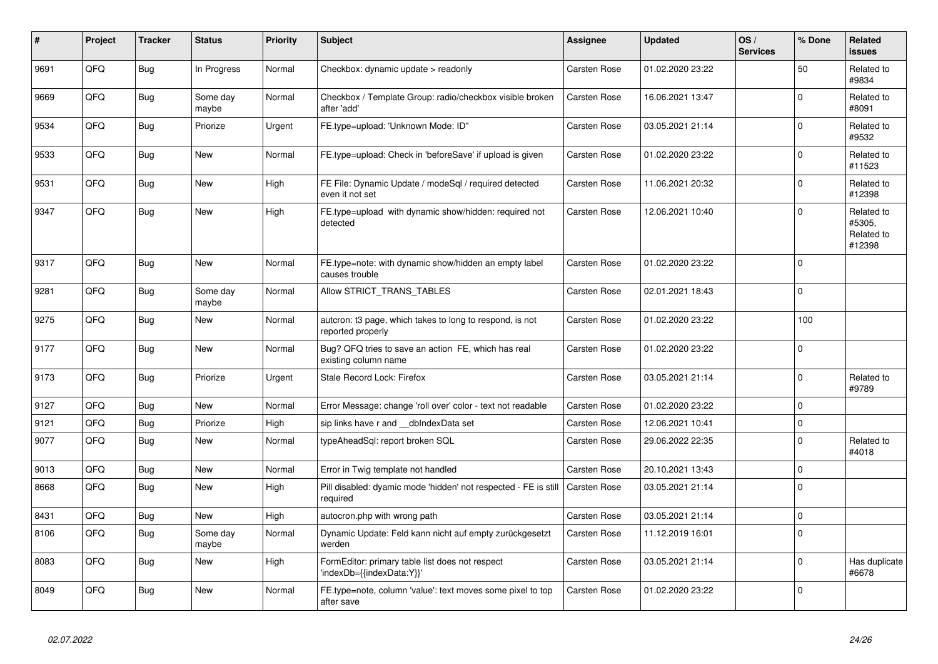| #    | Project | <b>Tracker</b> | <b>Status</b>     | <b>Priority</b> | <b>Subject</b>                                                                | Assignee     | <b>Updated</b>   | OS/<br><b>Services</b> | % Done   | Related<br><b>issues</b>                     |
|------|---------|----------------|-------------------|-----------------|-------------------------------------------------------------------------------|--------------|------------------|------------------------|----------|----------------------------------------------|
| 9691 | QFQ     | Bug            | In Progress       | Normal          | Checkbox: dynamic update > readonly                                           | Carsten Rose | 01.02.2020 23:22 |                        | 50       | Related to<br>#9834                          |
| 9669 | QFQ     | Bug            | Some day<br>maybe | Normal          | Checkbox / Template Group: radio/checkbox visible broken<br>after 'add'       | Carsten Rose | 16.06.2021 13:47 |                        | $\Omega$ | Related to<br>#8091                          |
| 9534 | QFQ     | Bug            | Priorize          | Urgent          | FE.type=upload: 'Unknown Mode: ID"                                            | Carsten Rose | 03.05.2021 21:14 |                        | $\Omega$ | Related to<br>#9532                          |
| 9533 | QFQ     | <b>Bug</b>     | New               | Normal          | FE.type=upload: Check in 'beforeSave' if upload is given                      | Carsten Rose | 01.02.2020 23:22 |                        | $\Omega$ | Related to<br>#11523                         |
| 9531 | QFQ     | <b>Bug</b>     | <b>New</b>        | High            | FE File: Dynamic Update / modeSgl / required detected<br>even it not set      | Carsten Rose | 11.06.2021 20:32 |                        | $\Omega$ | Related to<br>#12398                         |
| 9347 | QFQ     | Bug            | <b>New</b>        | High            | FE.type=upload with dynamic show/hidden: required not<br>detected             | Carsten Rose | 12.06.2021 10:40 |                        | $\Omega$ | Related to<br>#5305.<br>Related to<br>#12398 |
| 9317 | QFQ     | Bug            | <b>New</b>        | Normal          | FE.type=note: with dynamic show/hidden an empty label<br>causes trouble       | Carsten Rose | 01.02.2020 23:22 |                        | $\Omega$ |                                              |
| 9281 | QFQ     | Bug            | Some day<br>maybe | Normal          | Allow STRICT_TRANS_TABLES                                                     | Carsten Rose | 02.01.2021 18:43 |                        | $\Omega$ |                                              |
| 9275 | QFQ     | Bug            | New               | Normal          | auteron: t3 page, which takes to long to respond, is not<br>reported properly | Carsten Rose | 01.02.2020 23:22 |                        | 100      |                                              |
| 9177 | QFQ     | <b>Bug</b>     | New               | Normal          | Bug? QFQ tries to save an action FE, which has real<br>existing column name   | Carsten Rose | 01.02.2020 23:22 |                        | $\Omega$ |                                              |
| 9173 | QFQ     | <b>Bug</b>     | Priorize          | Urgent          | Stale Record Lock: Firefox                                                    | Carsten Rose | 03.05.2021 21:14 |                        | $\Omega$ | Related to<br>#9789                          |
| 9127 | QFQ     | <b>Bug</b>     | <b>New</b>        | Normal          | Error Message: change 'roll over' color - text not readable                   | Carsten Rose | 01.02.2020 23:22 |                        | $\Omega$ |                                              |
| 9121 | QFQ     | Bug            | Priorize          | High            | sip links have r and __dbIndexData set                                        | Carsten Rose | 12.06.2021 10:41 |                        | $\Omega$ |                                              |
| 9077 | QFQ     | <b>Bug</b>     | New               | Normal          | typeAheadSgl: report broken SQL                                               | Carsten Rose | 29.06.2022 22:35 |                        | $\Omega$ | Related to<br>#4018                          |
| 9013 | QFQ     | <b>Bug</b>     | <b>New</b>        | Normal          | Error in Twig template not handled                                            | Carsten Rose | 20.10.2021 13:43 |                        | $\Omega$ |                                              |
| 8668 | QFQ     | Bug            | <b>New</b>        | High            | Pill disabled: dyamic mode 'hidden' not respected - FE is still<br>required   | Carsten Rose | 03.05.2021 21:14 |                        | $\Omega$ |                                              |
| 8431 | QFQ     | <b>Bug</b>     | New               | High            | autocron.php with wrong path                                                  | Carsten Rose | 03.05.2021 21:14 |                        | $\Omega$ |                                              |
| 8106 | QFQ     | <b>Bug</b>     | Some day<br>maybe | Normal          | Dynamic Update: Feld kann nicht auf empty zurückgesetzt<br>werden             | Carsten Rose | 11.12.2019 16:01 |                        | $\Omega$ |                                              |
| 8083 | QFQ     | <b>Bug</b>     | <b>New</b>        | High            | FormEditor: primary table list does not respect<br>'indexDb={{indexData:Y}}'  | Carsten Rose | 03.05.2021 21:14 |                        | $\Omega$ | Has duplicate<br>#6678                       |
| 8049 | QFQ     | Bug            | New               | Normal          | FE.type=note, column 'value': text moves some pixel to top<br>after save      | Carsten Rose | 01.02.2020 23:22 |                        | $\Omega$ |                                              |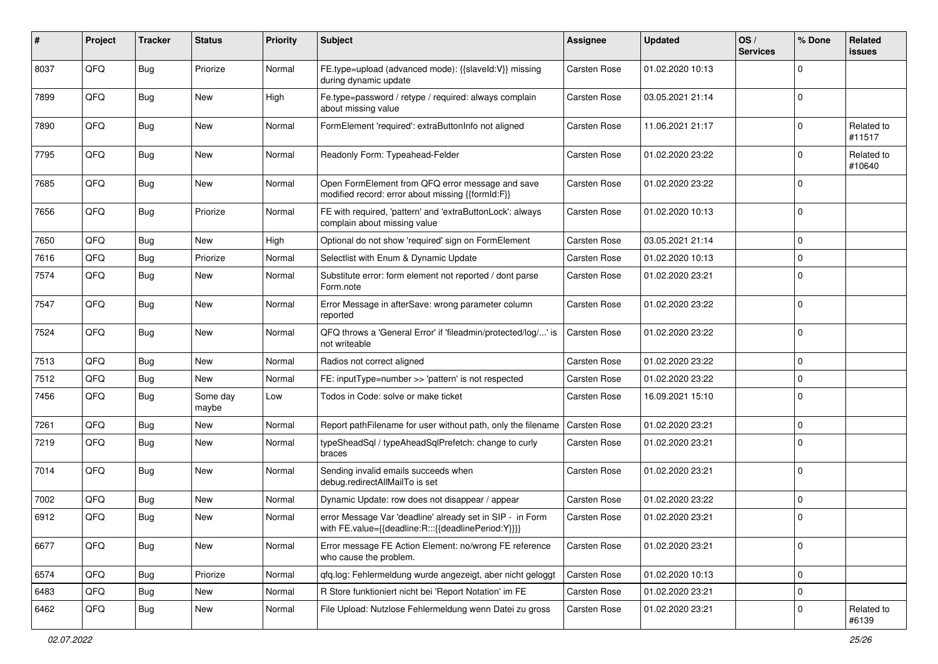| #    | Project | <b>Tracker</b> | <b>Status</b>     | <b>Priority</b> | <b>Subject</b>                                                                                                   | <b>Assignee</b>     | <b>Updated</b>   | OS/<br><b>Services</b> | % Done      | Related<br>issues    |
|------|---------|----------------|-------------------|-----------------|------------------------------------------------------------------------------------------------------------------|---------------------|------------------|------------------------|-------------|----------------------|
| 8037 | QFQ     | Bug            | Priorize          | Normal          | FE.type=upload (advanced mode): {{slaveId:V}} missing<br>during dynamic update                                   | <b>Carsten Rose</b> | 01.02.2020 10:13 |                        | $\Omega$    |                      |
| 7899 | QFQ     | Bug            | <b>New</b>        | High            | Fe.type=password / retype / required: always complain<br>about missing value                                     | Carsten Rose        | 03.05.2021 21:14 |                        | 0           |                      |
| 7890 | QFQ     | <b>Bug</b>     | <b>New</b>        | Normal          | FormElement 'required': extraButtonInfo not aligned                                                              | Carsten Rose        | 11.06.2021 21:17 |                        | 0           | Related to<br>#11517 |
| 7795 | QFQ     | <b>Bug</b>     | <b>New</b>        | Normal          | Readonly Form: Typeahead-Felder                                                                                  | Carsten Rose        | 01.02.2020 23:22 |                        | 0           | Related to<br>#10640 |
| 7685 | QFQ     | <b>Bug</b>     | <b>New</b>        | Normal          | Open FormElement from QFQ error message and save<br>modified record: error about missing {{formId:F}}            | Carsten Rose        | 01.02.2020 23:22 |                        | $\Omega$    |                      |
| 7656 | QFQ     | <b>Bug</b>     | Priorize          | Normal          | FE with required, 'pattern' and 'extraButtonLock': always<br>complain about missing value                        | Carsten Rose        | 01.02.2020 10:13 |                        | $\Omega$    |                      |
| 7650 | QFQ     | <b>Bug</b>     | <b>New</b>        | High            | Optional do not show 'required' sign on FormElement                                                              | Carsten Rose        | 03.05.2021 21:14 |                        | $\mathbf 0$ |                      |
| 7616 | QFQ     | <b>Bug</b>     | Priorize          | Normal          | Selectlist with Enum & Dynamic Update                                                                            | Carsten Rose        | 01.02.2020 10:13 |                        | $\mathbf 0$ |                      |
| 7574 | QFQ     | <b>Bug</b>     | <b>New</b>        | Normal          | Substitute error: form element not reported / dont parse<br>Form.note                                            | Carsten Rose        | 01.02.2020 23:21 |                        | $\Omega$    |                      |
| 7547 | QFQ     | <b>Bug</b>     | <b>New</b>        | Normal          | Error Message in afterSave: wrong parameter column<br>reported                                                   | Carsten Rose        | 01.02.2020 23:22 |                        | $\Omega$    |                      |
| 7524 | QFQ     | Bug            | <b>New</b>        | Normal          | QFQ throws a 'General Error' if 'fileadmin/protected/log/' is<br>not writeable                                   | Carsten Rose        | 01.02.2020 23:22 |                        | $\Omega$    |                      |
| 7513 | QFQ     | Bug            | <b>New</b>        | Normal          | Radios not correct aligned                                                                                       | Carsten Rose        | 01.02.2020 23:22 |                        | $\mathbf 0$ |                      |
| 7512 | QFQ     | <b>Bug</b>     | <b>New</b>        | Normal          | FE: inputType=number >> 'pattern' is not respected                                                               | Carsten Rose        | 01.02.2020 23:22 |                        | $\Omega$    |                      |
| 7456 | QFQ     | <b>Bug</b>     | Some day<br>maybe | Low             | Todos in Code: solve or make ticket                                                                              | Carsten Rose        | 16.09.2021 15:10 |                        | $\Omega$    |                      |
| 7261 | QFQ     | <b>Bug</b>     | <b>New</b>        | Normal          | Report pathFilename for user without path, only the filename                                                     | Carsten Rose        | 01.02.2020 23:21 |                        | $\mathbf 0$ |                      |
| 7219 | QFQ     | Bug            | <b>New</b>        | Normal          | typeSheadSql / typeAheadSqlPrefetch: change to curly<br>braces                                                   | Carsten Rose        | 01.02.2020 23:21 |                        | 0           |                      |
| 7014 | QFQ     | Bug            | <b>New</b>        | Normal          | Sending invalid emails succeeds when<br>debug.redirectAllMailTo is set                                           | Carsten Rose        | 01.02.2020 23:21 |                        | $\mathbf 0$ |                      |
| 7002 | QFQ     | <b>Bug</b>     | <b>New</b>        | Normal          | Dynamic Update: row does not disappear / appear                                                                  | Carsten Rose        | 01.02.2020 23:22 |                        | $\Omega$    |                      |
| 6912 | QFQ     | Bug            | <b>New</b>        | Normal          | error Message Var 'deadline' already set in SIP - in Form<br>with FE.value={{deadline:R:::{{deadlinePeriod:Y}}}} | Carsten Rose        | 01.02.2020 23:21 |                        | 0           |                      |
| 6677 | QFQ     | Bug            | New               | Normal          | Error message FE Action Element: no/wrong FE reference<br>who cause the problem.                                 | Carsten Rose        | 01.02.2020 23:21 |                        | $\mathbf 0$ |                      |
| 6574 | QFQ     | <b>Bug</b>     | Priorize          | Normal          | qfq.log: Fehlermeldung wurde angezeigt, aber nicht geloggt                                                       | Carsten Rose        | 01.02.2020 10:13 |                        | 0           |                      |
| 6483 | QFQ     | Bug            | New               | Normal          | R Store funktioniert nicht bei 'Report Notation' im FE                                                           | Carsten Rose        | 01.02.2020 23:21 |                        | $\mathbf 0$ |                      |
| 6462 | QFQ     | <b>Bug</b>     | New               | Normal          | File Upload: Nutzlose Fehlermeldung wenn Datei zu gross                                                          | Carsten Rose        | 01.02.2020 23:21 |                        | 0           | Related to<br>#6139  |